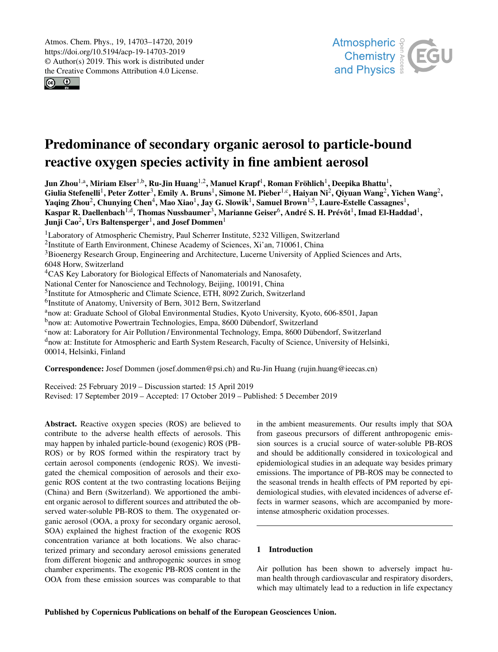$\circledcirc$ 



# Predominance of secondary organic aerosol to particle-bound reactive oxygen species activity in fine ambient aerosol

Jun Zhou $^{1, \rm a}$ , Miriam Elser $^{1, \rm b}$ , Ru-Jin Huang $^{1, \rm 2}$ , Manuel Krapf $^1$ , Roman Fröhlich $^1$ , Deepika Bhattu $^1$ , Giulia Stefenelli<sup>1</sup>, Peter Zotter<sup>3</sup>, Emily A. Bruns<sup>1</sup>, Simone M. Pieber<sup>1,c</sup>, Haiyan Ni<sup>2</sup>, Qiyuan Wang<sup>2</sup>, Yichen Wang<sup>2</sup>, Yaqing Zhou $^2$ , Chunying Chen $^4$ , Mao Xiao $^1$ , Jay G. Slowik $^1$ , Samuel Brown $^{1,5}$ , Laure-Estelle Cassagnes $^1$ , Kaspar R. Daellenbach $^{1,d},$  Thomas Nussbaumer $^3,$  Marianne Geiser $^6,$  André S. H. Prévôt $^1,$  Imad El-Haddad $^1,$ Junji Cao $^2$ , Urs Baltensperger $^1$ , and Josef Dommen $^1$ 

<sup>1</sup>Laboratory of Atmospheric Chemistry, Paul Scherrer Institute, 5232 Villigen, Switzerland <sup>2</sup>Institute of Earth Environment, Chinese Academy of Sciences, Xi'an, 710061, China <sup>3</sup>Bioenergy Research Group, Engineering and Architecture, Lucerne University of Applied Sciences and Arts, 6048 Horw, Switzerland <sup>4</sup>CAS Key Laboratory for Biological Effects of Nanomaterials and Nanosafety, National Center for Nanoscience and Technology, Beijing, 100191, China <sup>5</sup>Institute for Atmospheric and Climate Science, ETH, 8092 Zurich, Switzerland 6 Institute of Anatomy, University of Bern, 3012 Bern, Switzerland <sup>a</sup>now at: Graduate School of Global Environmental Studies, Kyoto University, Kyoto, 606-8501, Japan <sup>b</sup>now at: Automotive Powertrain Technologies, Empa, 8600 Dübendorf, Switzerland <sup>c</sup>now at: Laboratory for Air Pollution / Environmental Technology, Empa, 8600 Dübendorf, Switzerland <sup>d</sup>now at: Institute for Atmospheric and Earth System Research, Faculty of Science, University of Helsinki,

00014, Helsinki, Finland

Correspondence: Josef Dommen (josef.dommen@psi.ch) and Ru-Jin Huang (rujin.huang@ieecas.cn)

Received: 25 February 2019 – Discussion started: 15 April 2019 Revised: 17 September 2019 – Accepted: 17 October 2019 – Published: 5 December 2019

Abstract. Reactive oxygen species (ROS) are believed to contribute to the adverse health effects of aerosols. This may happen by inhaled particle-bound (exogenic) ROS (PB-ROS) or by ROS formed within the respiratory tract by certain aerosol components (endogenic ROS). We investigated the chemical composition of aerosols and their exogenic ROS content at the two contrasting locations Beijing (China) and Bern (Switzerland). We apportioned the ambient organic aerosol to different sources and attributed the observed water-soluble PB-ROS to them. The oxygenated organic aerosol (OOA, a proxy for secondary organic aerosol, SOA) explained the highest fraction of the exogenic ROS concentration variance at both locations. We also characterized primary and secondary aerosol emissions generated from different biogenic and anthropogenic sources in smog chamber experiments. The exogenic PB-ROS content in the OOA from these emission sources was comparable to that

in the ambient measurements. Our results imply that SOA from gaseous precursors of different anthropogenic emission sources is a crucial source of water-soluble PB-ROS and should be additionally considered in toxicological and epidemiological studies in an adequate way besides primary emissions. The importance of PB-ROS may be connected to the seasonal trends in health effects of PM reported by epidemiological studies, with elevated incidences of adverse effects in warmer seasons, which are accompanied by moreintense atmospheric oxidation processes.

# 1 Introduction

Air pollution has been shown to adversely impact human health through cardiovascular and respiratory disorders, which may ultimately lead to a reduction in life expectancy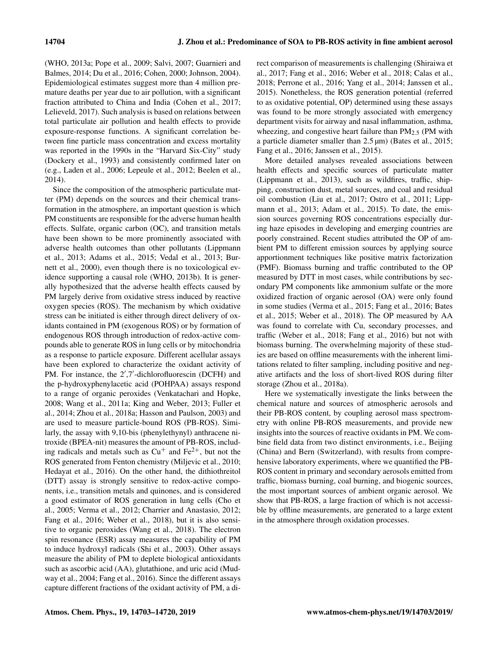(WHO, 2013a; Pope et al., 2009; Salvi, 2007; Guarnieri and Balmes, 2014; Du et al., 2016; Cohen, 2000; Johnson, 2004). Epidemiological estimates suggest more than 4 million premature deaths per year due to air pollution, with a significant fraction attributed to China and India (Cohen et al., 2017; Lelieveld, 2017). Such analysis is based on relations between total particulate air pollution and health effects to provide exposure-response functions. A significant correlation between fine particle mass concentration and excess mortality was reported in the 1990s in the "Harvard Six-City" study (Dockery et al., 1993) and consistently confirmed later on (e.g., Laden et al., 2006; Lepeule et al., 2012; Beelen et al., 2014).

Since the composition of the atmospheric particulate matter (PM) depends on the sources and their chemical transformation in the atmosphere, an important question is which PM constituents are responsible for the adverse human health effects. Sulfate, organic carbon (OC), and transition metals have been shown to be more prominently associated with adverse health outcomes than other pollutants (Lippmann et al., 2013; Adams et al., 2015; Vedal et al., 2013; Burnett et al., 2000), even though there is no toxicological evidence supporting a causal role (WHO, 2013b). It is generally hypothesized that the adverse health effects caused by PM largely derive from oxidative stress induced by reactive oxygen species (ROS). The mechanism by which oxidative stress can be initiated is either through direct delivery of oxidants contained in PM (exogenous ROS) or by formation of endogenous ROS through introduction of redox-active compounds able to generate ROS in lung cells or by mitochondria as a response to particle exposure. Different acellular assays have been explored to characterize the oxidant activity of PM. For instance, the 2',7'-dichlorofluorescin (DCFH) and the p-hydroxyphenylacetic acid (POHPAA) assays respond to a range of organic peroxides (Venkatachari and Hopke, 2008; Wang et al., 2011a; King and Weber, 2013; Fuller et al., 2014; Zhou et al., 2018a; Hasson and Paulson, 2003) and are used to measure particle-bound ROS (PB-ROS). Similarly, the assay with 9,10-bis (phenylethynyl) anthracene nitroxide (BPEA-nit) measures the amount of PB-ROS, including radicals and metals such as  $Cu<sup>+</sup>$  and  $Fe<sup>2+</sup>$ , but not the ROS generated from Fenton chemistry (Miljevic et al., 2010; Hedayat et al., 2016). On the other hand, the dithiothreitol (DTT) assay is strongly sensitive to redox-active components, i.e., transition metals and quinones, and is considered a good estimator of ROS generation in lung cells (Cho et al., 2005; Verma et al., 2012; Charrier and Anastasio, 2012; Fang et al., 2016; Weber et al., 2018), but it is also sensitive to organic peroxides (Wang et al., 2018). The electron spin resonance (ESR) assay measures the capability of PM to induce hydroxyl radicals (Shi et al., 2003). Other assays measure the ability of PM to deplete biological antioxidants such as ascorbic acid (AA), glutathione, and uric acid (Mudway et al., 2004; Fang et al., 2016). Since the different assays capture different fractions of the oxidant activity of PM, a direct comparison of measurements is challenging (Shiraiwa et al., 2017; Fang et al., 2016; Weber et al., 2018; Calas et al., 2018; Perrone et al., 2016; Yang et al., 2014; Janssen et al., 2015). Nonetheless, the ROS generation potential (referred to as oxidative potential, OP) determined using these assays was found to be more strongly associated with emergency department visits for airway and nasal inflammation, asthma, wheezing, and congestive heart failure than  $PM_{2.5}$  (PM with a particle diameter smaller than 2.5 µm) (Bates et al., 2015; Fang et al., 2016; Janssen et al., 2015).

More detailed analyses revealed associations between health effects and specific sources of particulate matter (Lippmann et al., 2013), such as wildfires, traffic, shipping, construction dust, metal sources, and coal and residual oil combustion (Liu et al., 2017; Ostro et al., 2011; Lippmann et al., 2013; Adam et al., 2015). To date, the emission sources governing ROS concentrations especially during haze episodes in developing and emerging countries are poorly constrained. Recent studies attributed the OP of ambient PM to different emission sources by applying source apportionment techniques like positive matrix factorization (PMF). Biomass burning and traffic contributed to the OP measured by DTT in most cases, while contributions by secondary PM components like ammonium sulfate or the more oxidized fraction of organic aerosol (OA) were only found in some studies (Verma et al., 2015; Fang et al., 2016; Bates et al., 2015; Weber et al., 2018). The OP measured by AA was found to correlate with Cu, secondary processes, and traffic (Weber et al., 2018; Fang et al., 2016) but not with biomass burning. The overwhelming majority of these studies are based on offline measurements with the inherent limitations related to filter sampling, including positive and negative artifacts and the loss of short-lived ROS during filter storage (Zhou et al., 2018a).

Here we systematically investigate the links between the chemical nature and sources of atmospheric aerosols and their PB-ROS content, by coupling aerosol mass spectrometry with online PB-ROS measurements, and provide new insights into the sources of reactive oxidants in PM. We combine field data from two distinct environments, i.e., Beijing (China) and Bern (Switzerland), with results from comprehensive laboratory experiments, where we quantified the PB-ROS content in primary and secondary aerosols emitted from traffic, biomass burning, coal burning, and biogenic sources, the most important sources of ambient organic aerosol. We show that PB-ROS, a large fraction of which is not accessible by offline measurements, are generated to a large extent in the atmosphere through oxidation processes.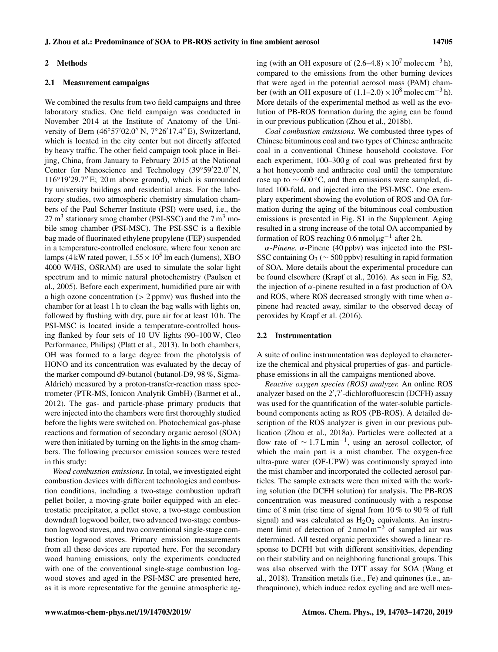#### 2 Methods

### 2.1 Measurement campaigns

We combined the results from two field campaigns and three laboratory studies. One field campaign was conducted in November 2014 at the Institute of Anatomy of the University of Bern (46◦57′02.0′′ N, 7◦26′17.4′′ E), Switzerland, which is located in the city center but not directly affected by heavy traffic. The other field campaign took place in Beijing, China, from January to February 2015 at the National Center for Nanoscience and Technology (39◦59′22.0′′ N, 116◦19′29.7′′ E; 20 m above ground), which is surrounded by university buildings and residential areas. For the laboratory studies, two atmospheric chemistry simulation chambers of the Paul Scherrer Institute (PSI) were used, i.e., the  $27 \text{ m}^3$  stationary smog chamber (PSI-SSC) and the  $7 \text{ m}^3$  mobile smog chamber (PSI-MSC). The PSI-SSC is a flexible bag made of fluorinated ethylene propylene (FEP) suspended in a temperature-controlled enclosure, where four xenon arc lamps (4 kW rated power,  $1.55 \times 10^5$  lm each (lumens), XBO 4000 W/HS, OSRAM) are used to simulate the solar light spectrum and to mimic natural photochemistry (Paulsen et al., 2005). Before each experiment, humidified pure air with a high ozone concentration  $(> 2$  ppmv) was flushed into the chamber for at least 1 h to clean the bag walls with lights on, followed by flushing with dry, pure air for at least 10 h. The PSI-MSC is located inside a temperature-controlled housing flanked by four sets of 10 UV lights (90–100 W, Cleo Performance, Philips) (Platt et al., 2013). In both chambers, OH was formed to a large degree from the photolysis of HONO and its concentration was evaluated by the decay of the marker compound d9-butanol (butanol-D9, 98 %, Sigma-Aldrich) measured by a proton-transfer-reaction mass spectrometer (PTR-MS, Ionicon Analytik GmbH) (Barmet et al., 2012). The gas- and particle-phase primary products that were injected into the chambers were first thoroughly studied before the lights were switched on. Photochemical gas-phase reactions and formation of secondary organic aerosol (SOA) were then initiated by turning on the lights in the smog chambers. The following precursor emission sources were tested in this study:

*Wood combustion emissions.* In total, we investigated eight combustion devices with different technologies and combustion conditions, including a two-stage combustion updraft pellet boiler, a moving-grate boiler equipped with an electrostatic precipitator, a pellet stove, a two-stage combustion downdraft logwood boiler, two advanced two-stage combustion logwood stoves, and two conventional single-stage combustion logwood stoves. Primary emission measurements from all these devices are reported here. For the secondary wood burning emissions, only the experiments conducted with one of the conventional single-stage combustion logwood stoves and aged in the PSI-MSC are presented here, as it is more representative for the genuine atmospheric aging (with an OH exposure of  $(2.6-4.8) \times 10^7$  molec cm<sup>-3</sup> h), compared to the emissions from the other burning devices that were aged in the potential aerosol mass (PAM) chamber (with an OH exposure of  $(1.1–2.0) \times 10^8$  molec cm<sup>-3</sup> h). More details of the experimental method as well as the evolution of PB-ROS formation during the aging can be found in our previous publication (Zhou et al., 2018b).

*Coal combustion emissions.* We combusted three types of Chinese bituminous coal and two types of Chinese anthracite coal in a conventional Chinese household cookstove. For each experiment, 100–300 g of coal was preheated first by a hot honeycomb and anthracite coal until the temperature rose up to  $\sim$  600 °C, and then emissions were sampled, diluted 100-fold, and injected into the PSI-MSC. One exemplary experiment showing the evolution of ROS and OA formation during the aging of the bituminous coal combustion emissions is presented in Fig. S1 in the Supplement. Aging resulted in a strong increase of the total OA accompanied by formation of ROS reaching 0.6 nmol  $\mu$ g<sup>-1</sup> after 2 h.

α*-Pinene.* α-Pinene (40 ppbv) was injected into the PSI-SSC containing O<sub>3</sub> ( $\sim$  500 ppbv) resulting in rapid formation of SOA. More details about the experimental procedure can be found elsewhere (Krapf et al., 2016). As seen in Fig. S2, the injection of  $\alpha$ -pinene resulted in a fast production of OA and ROS, where ROS decreased strongly with time when  $\alpha$ pinene had reacted away, similar to the observed decay of peroxides by Krapf et al. (2016).

# 2.2 Instrumentation

A suite of online instrumentation was deployed to characterize the chemical and physical properties of gas- and particlephase emissions in all the campaigns mentioned above.

*Reactive oxygen species (ROS) analyzer.* An online ROS analyzer based on the 2′ ,7′ -dichlorofluorescin (DCFH) assay was used for the quantification of the water-soluble particlebound components acting as ROS (PB-ROS). A detailed description of the ROS analyzer is given in our previous publication (Zhou et al., 2018a). Particles were collected at a flow rate of  $\sim$  1.7 Lmin<sup>-1</sup>, using an aerosol collector, of which the main part is a mist chamber. The oxygen-free ultra-pure water (OF-UPW) was continuously sprayed into the mist chamber and incorporated the collected aerosol particles. The sample extracts were then mixed with the working solution (the DCFH solution) for analysis. The PB-ROS concentration was measured continuously with a response time of 8 min (rise time of signal from 10 % to 90 % of full signal) and was calculated as  $H_2O_2$  equivalents. An instrument limit of detection of  $2 \text{ nmol m}^{-3}$  of sampled air was determined. All tested organic peroxides showed a linear response to DCFH but with different sensitivities, depending on their stability and on neighboring functional groups. This was also observed with the DTT assay for SOA (Wang et al., 2018). Transition metals (i.e., Fe) and quinones (i.e., anthraquinone), which induce redox cycling and are well mea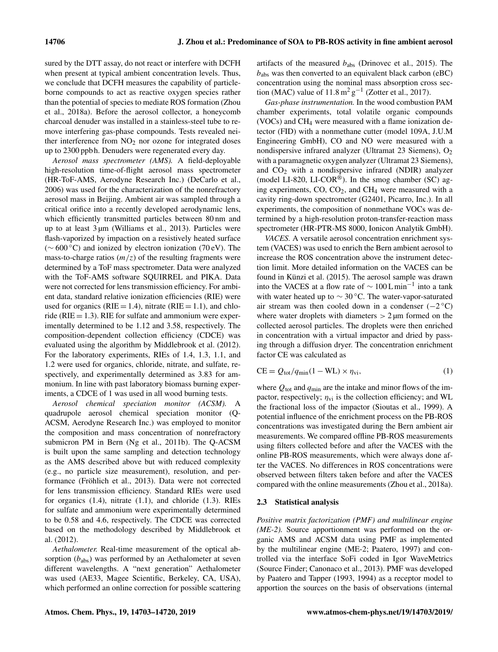sured by the DTT assay, do not react or interfere with DCFH when present at typical ambient concentration levels. Thus, we conclude that DCFH measures the capability of particleborne compounds to act as reactive oxygen species rather than the potential of species to mediate ROS formation (Zhou et al., 2018a). Before the aerosol collector, a honeycomb charcoal denuder was installed in a stainless-steel tube to remove interfering gas-phase compounds. Tests revealed neither interference from  $NO<sub>2</sub>$  nor ozone for integrated doses up to 2300 ppb h. Denuders were regenerated every day.

*Aerosol mass spectrometer (AMS).* A field-deployable high-resolution time-of-flight aerosol mass spectrometer (HR-ToF-AMS, Aerodyne Research Inc.) (DeCarlo et al., 2006) was used for the characterization of the nonrefractory aerosol mass in Beijing. Ambient air was sampled through a critical orifice into a recently developed aerodynamic lens, which efficiently transmitted particles between 80 nm and up to at least 3 µm (Williams et al., 2013). Particles were flash-vaporized by impaction on a resistively heated surface (∼ 600 ◦C) and ionized by electron ionization (70 eV). The mass-to-charge ratios  $(m/z)$  of the resulting fragments were determined by a ToF mass spectrometer. Data were analyzed with the ToF-AMS software SQUIRREL and PIKA. Data were not corrected for lens transmission efficiency. For ambient data, standard relative ionization efficiencies (RIE) were used for organics (RIE = 1.4), nitrate (RIE = 1.1), and chloride ( $RIE = 1.3$ ). RIE for sulfate and ammonium were experimentally determined to be 1.12 and 3.58, respectively. The composition-dependent collection efficiency (CDCE) was evaluated using the algorithm by Middlebrook et al. (2012). For the laboratory experiments, RIEs of 1.4, 1.3, 1.1, and 1.2 were used for organics, chloride, nitrate, and sulfate, respectively, and experimentally determined as 3.83 for ammonium. In line with past laboratory biomass burning experiments, a CDCE of 1 was used in all wood burning tests.

*Aerosol chemical speciation monitor (ACSM).* A quadrupole aerosol chemical speciation monitor (Q-ACSM, Aerodyne Research Inc.) was employed to monitor the composition and mass concentration of nonrefractory submicron PM in Bern (Ng et al., 2011b). The Q-ACSM is built upon the same sampling and detection technology as the AMS described above but with reduced complexity (e.g., no particle size measurement), resolution, and performance (Fröhlich et al., 2013). Data were not corrected for lens transmission efficiency. Standard RIEs were used for organics (1.4), nitrate (1.1), and chloride (1.3). RIEs for sulfate and ammonium were experimentally determined to be 0.58 and 4.6, respectively. The CDCE was corrected based on the methodology described by Middlebrook et al. (2012).

*Aethalometer.* Real-time measurement of the optical absorption  $(b_{\text{abs}})$  was performed by an Aethalometer at seven different wavelengths. A "next generation" Aethalometer was used (AE33, Magee Scientific, Berkeley, CA, USA), which performed an online correction for possible scattering artifacts of the measured  $b_{\text{abs}}$  (Drinovec et al., 2015). The  $b_{\text{abs}}$  was then converted to an equivalent black carbon (eBC) concentration using the nominal mass absorption cross section (MAC) value of  $11.8 \,\mathrm{m^2\,g^{-1}}$  (Zotter et al., 2017).

*Gas-phase instrumentation.* In the wood combustion PAM chamber experiments, total volatile organic compounds (VOCs) and  $CH<sub>4</sub>$  were measured with a flame ionization detector (FID) with a nonmethane cutter (model 109A, J.U.M Engineering GmbH), CO and NO were measured with a nondispersive infrared analyzer (Ultramat 23 Siemens),  $O_2$ with a paramagnetic oxygen analyzer (Ultramat 23 Siemens), and  $CO<sub>2</sub>$  with a nondispersive infrared (NDIR) analyzer (model LI-820, LI-COR®). In the smog chamber (SC) aging experiments,  $CO$ ,  $CO<sub>2</sub>$ , and  $CH<sub>4</sub>$  were measured with a cavity ring-down spectrometer (G2401, Picarro, Inc.). In all experiments, the composition of nonmethane VOCs was determined by a high-resolution proton-transfer-reaction mass spectrometer (HR-PTR-MS 8000, Ionicon Analytik GmbH).

*VACES.* A versatile aerosol concentration enrichment system (VACES) was used to enrich the Bern ambient aerosol to increase the ROS concentration above the instrument detection limit. More detailed information on the VACES can be found in Künzi et al. (2015). The aerosol sample was drawn into the VACES at a flow rate of  $\sim 100$  Lmin<sup>-1</sup> into a tank with water heated up to  $\sim$  30 °C. The water-vapor-saturated air stream was then cooled down in a condenser  $(-2^{\circ}C)$ where water droplets with diameters  $> 2 \mu m$  formed on the collected aerosol particles. The droplets were then enriched in concentration with a virtual impactor and dried by passing through a diffusion dryer. The concentration enrichment factor CE was calculated as

$$
CE = Q_{\text{tot}}/q_{\text{min}}(1 - WL) \times \eta_{\text{vi}},\tag{1}
$$

where  $Q_{\text{tot}}$  and  $q_{\text{min}}$  are the intake and minor flows of the impactor, respectively;  $\eta_{\rm vi}$  is the collection efficiency; and WL the fractional loss of the impactor (Sioutas et al., 1999). A potential influence of the enrichment process on the PB-ROS concentrations was investigated during the Bern ambient air measurements. We compared offline PB-ROS measurements using filters collected before and after the VACES with the online PB-ROS measurements, which were always done after the VACES. No differences in ROS concentrations were observed between filters taken before and after the VACES compared with the online measurements (Zhou et al., 2018a).

# 2.3 Statistical analysis

*Positive matrix factorization (PMF) and multilinear engine (ME-2).* Source apportionment was performed on the organic AMS and ACSM data using PMF as implemented by the multilinear engine (ME-2; Paatero, 1997) and controlled via the interface SoFi coded in Igor WaveMetrics (Source Finder; Canonaco et al., 2013). PMF was developed by Paatero and Tapper (1993, 1994) as a receptor model to apportion the sources on the basis of observations (internal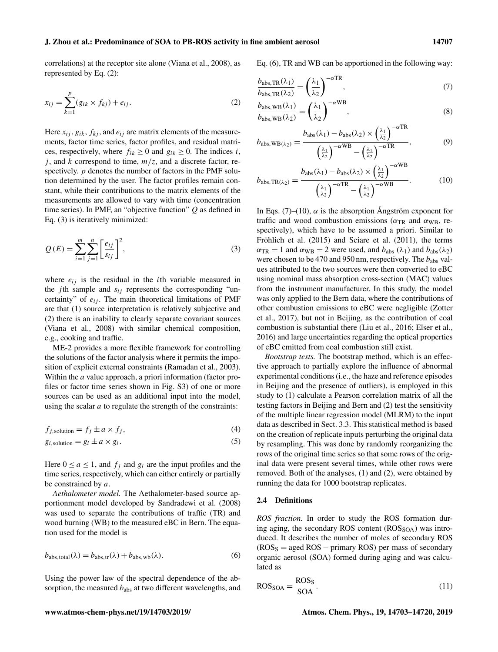correlations) at the receptor site alone (Viana et al., 2008), as represented by Eq. (2):

$$
x_{ij} = \sum_{k=1}^{p} (g_{ik} \times f_{kj}) + e_{ij}.
$$
 (2)

Here  $x_{ij}$ ,  $g_{ik}$ ,  $f_{kj}$ , and  $e_{ij}$  are matrix elements of the measurements, factor time series, factor profiles, and residual matrices, respectively, where  $f_{ik} \ge 0$  and  $g_{ik} \ge 0$ . The indices *i*, j, and k correspond to time,  $m/z$ , and a discrete factor, respectively.  $p$  denotes the number of factors in the PMF solution determined by the user. The factor profiles remain constant, while their contributions to the matrix elements of the measurements are allowed to vary with time (concentration time series). In PMF, an "objective function"  $Q$  as defined in Eq. (3) is iteratively minimized:

$$
Q(E) = \sum_{i=1}^{m} \sum_{j=1}^{n} \left[ \frac{e_{ij}}{s_{ij}} \right]^2,
$$
\n(3)

where  $e_{ij}$  is the residual in the *i*th variable measured in the *j*th sample and  $s_{ij}$  represents the corresponding "uncertainty" of  $e_{ij}$ . The main theoretical limitations of PMF are that (1) source interpretation is relatively subjective and (2) there is an inability to clearly separate covariant sources (Viana et al., 2008) with similar chemical composition, e.g., cooking and traffic.

ME-2 provides a more flexible framework for controlling the solutions of the factor analysis where it permits the imposition of explicit external constraints (Ramadan et al., 2003). Within the *a* value approach, a priori information (factor profiles or factor time series shown in Fig. S3) of one or more sources can be used as an additional input into the model, using the scalar  $a$  to regulate the strength of the constraints:

$$
f_{j, \text{solution}} = f_j \pm a \times f_j,\tag{4}
$$

$$
g_{i, \text{solution}} = g_i \pm a \times g_i. \tag{5}
$$

Here  $0 \le a \le 1$ , and  $f_i$  and  $g_i$  are the input profiles and the time series, respectively, which can either entirely or partially be constrained by a.

*Aethalometer model.* The Aethalometer-based source apportionment model developed by Sandradewi et al. (2008) was used to separate the contributions of traffic (TR) and wood burning (WB) to the measured eBC in Bern. The equation used for the model is

$$
b_{\text{abs,total}}(\lambda) = b_{\text{abs,tr}}(\lambda) + b_{\text{abs,wb}}(\lambda). \tag{6}
$$

Using the power law of the spectral dependence of the absorption, the measured  $b_{\text{abs}}$  at two different wavelengths, and Eq. (6), TR and WB can be apportioned in the following way:

$$
\frac{b_{\text{abs},\text{TR}}(\lambda_1)}{b_{\text{abs},\text{TR}}(\lambda_2)} = \left(\frac{\lambda_1}{\lambda_2}\right)^{-\alpha \text{TR}},\tag{7}
$$

$$
\frac{b_{\text{abs, WB}}(\lambda_1)}{b_{\text{abs, WB}}(\lambda_2)} = \left(\frac{\lambda_1}{\lambda_2}\right)^{-\alpha \text{WB}},
$$
\n(8)

$$
b_{\text{abs},\text{WB}(\lambda_2)} = \frac{b_{\text{abs}}(\lambda_1) - b_{\text{abs}}(\lambda_2) \times \left(\frac{\lambda_1}{\lambda_2}\right)^{-\alpha \text{ TR}}}{\left(\frac{\lambda_1}{\lambda_2}\right)^{-\alpha \text{ WR}}} - \left(\frac{\lambda_1}{\lambda_2}\right)^{-\alpha \text{ TR}},\tag{9}
$$

$$
b_{\text{abs},\text{TR}(\lambda_2)} = \frac{b_{\text{abs}}(\lambda_1) - b_{\text{abs}}(\lambda_2) \times \left(\frac{\lambda_1}{\lambda_2}\right)^{-\alpha \text{WB}}}{\left(\frac{\lambda_1}{\lambda_2}\right)^{-\alpha \text{TR}} - \left(\frac{\lambda_1}{\lambda_2}\right)^{-\alpha \text{WB}}}.
$$
 (10)

In Eqs. (7)–(10),  $\alpha$  is the absorption Angström exponent for traffic and wood combustion emissions ( $\alpha_{TR}$  and  $\alpha_{WB}$ , respectively), which have to be assumed a priori. Similar to Fröhlich et al. (2015) and Sciare et al. (2011), the terms  $\alpha_{TR} = 1$  and  $\alpha_{WB} = 2$  were used, and  $b_{\text{abs}}(\lambda_1)$  and  $b_{\text{abs}}(\lambda_2)$ were chosen to be 470 and 950 nm, respectively. The  $b_{\text{abs}}$  values attributed to the two sources were then converted to eBC using nominal mass absorption cross-section (MAC) values from the instrument manufacturer. In this study, the model was only applied to the Bern data, where the contributions of other combustion emissions to eBC were negligible (Zotter et al., 2017), but not in Beijing, as the contribution of coal combustion is substantial there (Liu et al., 2016; Elser et al., 2016) and large uncertainties regarding the optical properties of eBC emitted from coal combustion still exist.

*Bootstrap tests.* The bootstrap method, which is an effective approach to partially explore the influence of abnormal experimental conditions (i.e., the haze and reference episodes in Beijing and the presence of outliers), is employed in this study to (1) calculate a Pearson correlation matrix of all the testing factors in Beijing and Bern and (2) test the sensitivity of the multiple linear regression model (MLRM) to the input data as described in Sect. 3.3. This statistical method is based on the creation of replicate inputs perturbing the original data by resampling. This was done by randomly reorganizing the rows of the original time series so that some rows of the original data were present several times, while other rows were removed. Both of the analyses, (1) and (2), were obtained by running the data for 1000 bootstrap replicates.

### 2.4 Definitions

*ROS fraction.* In order to study the ROS formation during aging, the secondary ROS content  $(ROS<sub>SOA</sub>)$  was introduced. It describes the number of moles of secondary ROS  $(ROS<sub>S</sub> = aged ROS - primary ROS)$  per mass of secondary organic aerosol (SOA) formed during aging and was calculated as

$$
ROS_{SOA} = \frac{ROS_S}{SOA}.
$$
 (11)

#### www.atmos-chem-phys.net/19/14703/2019/ Atmos. Chem. Phys., 19, 14703–14720, 2019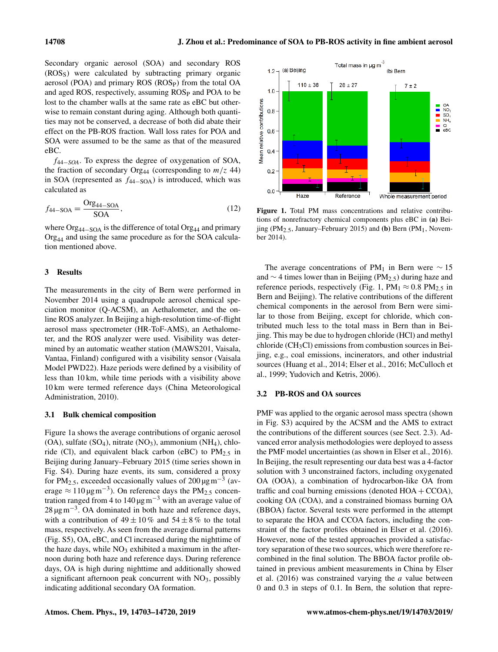Secondary organic aerosol (SOA) and secondary ROS (ROSS) were calculated by subtracting primary organic aerosol (POA) and primary ROS (ROSP) from the total OA and aged ROS, respectively, assuming ROS<sub>P</sub> and POA to be lost to the chamber walls at the same rate as eBC but otherwise to remain constant during aging. Although both quantities may not be conserved, a decrease of both did abate their effect on the PB-ROS fraction. Wall loss rates for POA and SOA were assumed to be the same as that of the measured eBC.

f44−*SOA*. To express the degree of oxygenation of SOA, the fraction of secondary Org<sub>44</sub> (corresponding to  $m/z$  44) in SOA (represented as  $f_{44-SOA}$ ) is introduced, which was calculated as

$$
f_{44-\text{SOA}} = \frac{\text{Org}_{44-\text{SOA}}}{\text{SOA}},\tag{12}
$$

where  $\text{Org}_{44-\text{SOA}}$  is the difference of total  $\text{Org}_{44}$  and primary  $Org<sub>44</sub>$  and using the same procedure as for the SOA calculation mentioned above.

# 3 Results

The measurements in the city of Bern were performed in November 2014 using a quadrupole aerosol chemical speciation monitor (Q-ACSM), an Aethalometer, and the online ROS analyzer. In Beijing a high-resolution time-of-flight aerosol mass spectrometer (HR-ToF-AMS), an Aethalometer, and the ROS analyzer were used. Visibility was determined by an automatic weather station (MAWS201, Vaisala, Vantaa, Finland) configured with a visibility sensor (Vaisala Model PWD22). Haze periods were defined by a visibility of less than 10 km, while time periods with a visibility above 10 km were termed reference days (China Meteorological Administration, 2010).

# 3.1 Bulk chemical composition

Figure 1a shows the average contributions of organic aerosol  $(OA)$ , sulfate  $(SO<sub>4</sub>)$ , nitrate  $(NO<sub>3</sub>)$ , ammonium  $(NH<sub>4</sub>)$ , chloride (Cl), and equivalent black carbon (eBC) to  $PM_{2.5}$  in Beijing during January–February 2015 (time series shown in Fig. S4). During haze events, its sum, considered a proxy for PM<sub>2.5</sub>, exceeded occasionally values of 200  $\mu$ gm<sup>-3</sup> (average  $\approx 110 \,\text{µg m}^{-3}$ ). On reference days the PM<sub>2.5</sub> concentration ranged from 4 to 140  $\mu$ gm<sup>-3</sup> with an average value of 28  $\mu$ gm<sup>-3</sup>. OA dominated in both haze and reference days, with a contribution of  $49 \pm 10\%$  and  $54 \pm 8\%$  to the total mass, respectively. As seen from the average diurnal patterns (Fig. S5), OA, eBC, and Cl increased during the nighttime of the haze days, while  $NO<sub>3</sub>$  exhibited a maximum in the afternoon during both haze and reference days. During reference days, OA is high during nighttime and additionally showed a significant afternoon peak concurrent with  $NO<sub>3</sub>$ , possibly indicating additional secondary OA formation.



Figure 1. Total PM mass concentrations and relative contributions of nonrefractory chemical components plus eBC in (a) Beijing (PM<sub>2.5</sub>, January–February 2015) and (b) Bern (PM<sub>1</sub>, November 2014).

The average concentrations of PM<sub>1</sub> in Bern were  $\sim 15$ and  $\sim$  4 times lower than in Beijing (PM<sub>2.5</sub>) during haze and reference periods, respectively (Fig. 1, PM<sub>1</sub>  $\approx$  0.8 PM<sub>2.5</sub> in Bern and Beijing). The relative contributions of the different chemical components in the aerosol from Bern were similar to those from Beijing, except for chloride, which contributed much less to the total mass in Bern than in Beijing. This may be due to hydrogen chloride (HCl) and methyl  $chloride$  (CH<sub>3</sub>Cl) emissions from combustion sources in Beijing, e.g., coal emissions, incinerators, and other industrial sources (Huang et al., 2014; Elser et al., 2016; McCulloch et al., 1999; Yudovich and Ketris, 2006).

# 3.2 PB-ROS and OA sources

PMF was applied to the organic aerosol mass spectra (shown in Fig. S3) acquired by the ACSM and the AMS to extract the contributions of the different sources (see Sect. 2.3). Advanced error analysis methodologies were deployed to assess the PMF model uncertainties (as shown in Elser et al., 2016). In Beijing, the result representing our data best was a 4-factor solution with 3 unconstrained factors, including oxygenated OA (OOA), a combination of hydrocarbon-like OA from traffic and coal burning emissions (denoted  $HOA + CCOA$ ), cooking OA (COA), and a constrained biomass burning OA (BBOA) factor. Several tests were performed in the attempt to separate the HOA and CCOA factors, including the constraint of the factor profiles obtained in Elser et al. (2016). However, none of the tested approaches provided a satisfactory separation of these two sources, which were therefore recombined in the final solution. The BBOA factor profile obtained in previous ambient measurements in China by Elser et al.  $(2016)$  was constrained varying the *a* value between 0 and 0.3 in steps of 0.1. In Bern, the solution that repre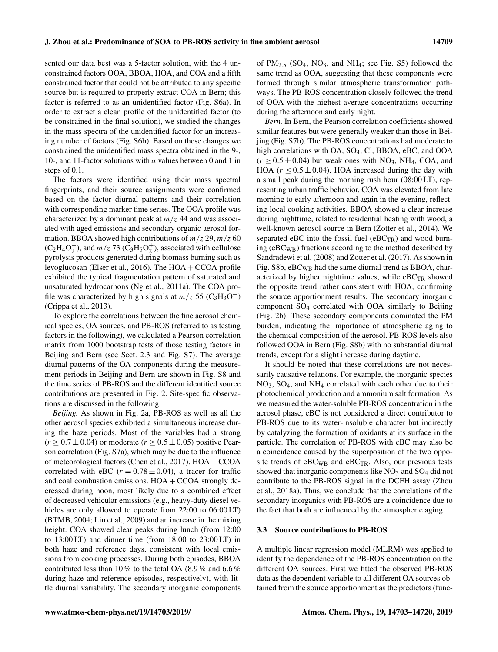sented our data best was a 5-factor solution, with the 4 unconstrained factors OOA, BBOA, HOA, and COA and a fifth constrained factor that could not be attributed to any specific source but is required to properly extract COA in Bern; this factor is referred to as an unidentified factor (Fig. S6a). In order to extract a clean profile of the unidentified factor (to be constrained in the final solution), we studied the changes in the mass spectra of the unidentified factor for an increasing number of factors (Fig. S6b). Based on these changes we constrained the unidentified mass spectra obtained in the 9-, 10-, and 11-factor solutions with  $a$  values between 0 and 1 in steps of 0.1.

The factors were identified using their mass spectral fingerprints, and their source assignments were confirmed based on the factor diurnal patterns and their correlation with corresponding marker time series. The OOA profile was characterized by a dominant peak at  $m/z$  44 and was associated with aged emissions and secondary organic aerosol formation. BBOA showed high contributions of  $m/z$  29,  $m/z$  60  $(C_2H_4O_2^+)$ , and  $m/z$  73  $(C_3H_5O_2^+)$ , associated with cellulose pyrolysis products generated during biomass burning such as levoglucosan (Elser et al., 2016). The HOA + CCOA profile exhibited the typical fragmentation pattern of saturated and unsaturated hydrocarbons (Ng et al., 2011a). The COA profile was characterized by high signals at  $m/z$  55 (C<sub>3</sub>H<sub>3</sub>O<sup>+</sup>) (Crippa et al., 2013).

To explore the correlations between the fine aerosol chemical species, OA sources, and PB-ROS (referred to as testing factors in the following), we calculated a Pearson correlation matrix from 1000 bootstrap tests of those testing factors in Beijing and Bern (see Sect. 2.3 and Fig. S7). The average diurnal patterns of the OA components during the measurement periods in Beijing and Bern are shown in Fig. S8 and the time series of PB-ROS and the different identified source contributions are presented in Fig. 2. Site-specific observations are discussed in the following.

*Beijing.* As shown in Fig. 2a, PB-ROS as well as all the other aerosol species exhibited a simultaneous increase during the haze periods. Most of the variables had a strong  $(r \geq 0.7 \pm 0.04)$  or moderate  $(r \geq 0.5 \pm 0.05)$  positive Pearson correlation (Fig. S7a), which may be due to the influence of meteorological factors (Chen et al., 2017).  $HOA + CCOA$ correlated with eBC ( $r = 0.78 \pm 0.04$ ), a tracer for traffic and coal combustion emissions.  $HOA + CCOA$  strongly decreased during noon, most likely due to a combined effect of decreased vehicular emissions (e.g., heavy-duty diesel vehicles are only allowed to operate from 22:00 to 06:00 LT) (BTMB, 2004; Lin et al., 2009) and an increase in the mixing height. COA showed clear peaks during lunch (from 12:00) to 13:00 LT) and dinner time (from 18:00 to 23:00 LT) in both haze and reference days, consistent with local emissions from cooking processes. During both episodes, BBOA contributed less than 10 % to the total OA (8.9 % and 6.6 % during haze and reference episodes, respectively), with little diurnal variability. The secondary inorganic components of  $PM_{2.5}$  (SO<sub>4</sub>, NO<sub>3</sub>, and NH<sub>4</sub>; see Fig. S5) followed the same trend as OOA, suggesting that these components were formed through similar atmospheric transformation pathways. The PB-ROS concentration closely followed the trend of OOA with the highest average concentrations occurring during the afternoon and early night.

*Bern.* In Bern, the Pearson correlation coefficients showed similar features but were generally weaker than those in Beijing (Fig. S7b). The PB-ROS concentrations had moderate to high correlations with OA, SO<sub>4</sub>, Cl, BBOA, eBC, and OOA  $(r \ge 0.5 \pm 0.04)$  but weak ones with NO<sub>3</sub>, NH<sub>4</sub>, COA, and HOA ( $r < 0.5 \pm 0.04$ ). HOA increased during the day with a small peak during the morning rush hour (08:00 LT), representing urban traffic behavior. COA was elevated from late morning to early afternoon and again in the evening, reflecting local cooking activities. BBOA showed a clear increase during nighttime, related to residential heating with wood, a well-known aerosol source in Bern (Zotter et al., 2014). We separated eBC into the fossil fuel ( $eBC_{TR}$ ) and wood burning (eBCWB) fractions according to the method described by Sandradewi et al. (2008) and Zotter et al. (2017). As shown in Fig. S8b, eBC<sub>WB</sub> had the same diurnal trend as BBOA, characterized by higher nighttime values, while  $eBC_{TR}$  showed the opposite trend rather consistent with HOA, confirming the source apportionment results. The secondary inorganic component SO<sup>4</sup> correlated with OOA similarly to Beijing (Fig. 2b). These secondary components dominated the PM burden, indicating the importance of atmospheric aging to the chemical composition of the aerosol. PB-ROS levels also followed OOA in Bern (Fig. S8b) with no substantial diurnal trends, except for a slight increase during daytime.

It should be noted that these correlations are not necessarily causative relations. For example, the inorganic species NO3, SO4, and NH<sup>4</sup> correlated with each other due to their photochemical production and ammonium salt formation. As we measured the water-soluble PB-ROS concentration in the aerosol phase, eBC is not considered a direct contributor to PB-ROS due to its water-insoluble character but indirectly by catalyzing the formation of oxidants at its surface in the particle. The correlation of PB-ROS with eBC may also be a coincidence caused by the superposition of the two opposite trends of  $eBC_{WB}$  and  $eBC_{TR}$ . Also, our previous tests showed that inorganic components like  $NO<sub>3</sub>$  and  $SO<sub>4</sub>$  did not contribute to the PB-ROS signal in the DCFH assay (Zhou et al., 2018a). Thus, we conclude that the correlations of the secondary inorganics with PB-ROS are a coincidence due to the fact that both are influenced by the atmospheric aging.

#### 3.3 Source contributions to PB-ROS

A multiple linear regression model (MLRM) was applied to identify the dependence of the PB-ROS concentration on the different OA sources. First we fitted the observed PB-ROS data as the dependent variable to all different OA sources obtained from the source apportionment as the predictors (func-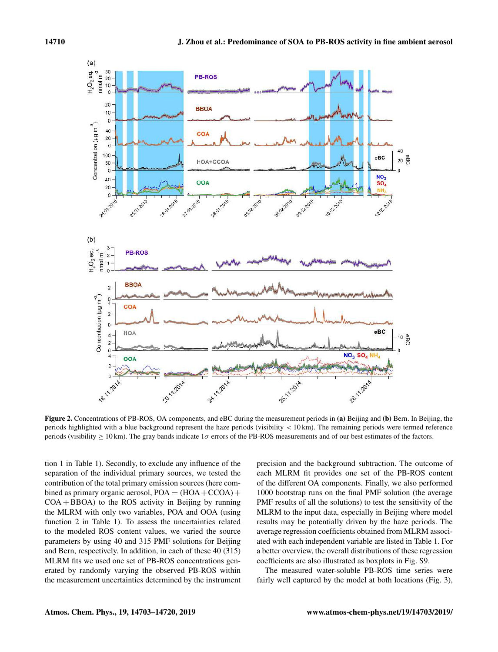

Figure 2. Concentrations of PB-ROS, OA components, and eBC during the measurement periods in (a) Beijing and (b) Bern. In Beijing, the periods highlighted with a blue background represent the haze periods (visibility < 10 km). The remaining periods were termed reference periods (visibility  $\geq 10$  km). The gray bands indicate  $1\sigma$  errors of the PB-ROS measurements and of our best estimates of the factors.

tion 1 in Table 1). Secondly, to exclude any influence of the separation of the individual primary sources, we tested the contribution of the total primary emission sources (here combined as primary organic aerosol,  $POA = (HOA + CCOA) +$  $COA + BBOA$ ) to the ROS activity in Beijing by running the MLRM with only two variables, POA and OOA (using function 2 in Table 1). To assess the uncertainties related to the modeled ROS content values, we varied the source parameters by using 40 and 315 PMF solutions for Beijing and Bern, respectively. In addition, in each of these 40 (315) MLRM fits we used one set of PB-ROS concentrations generated by randomly varying the observed PB-ROS within the measurement uncertainties determined by the instrument precision and the background subtraction. The outcome of each MLRM fit provides one set of the PB-ROS content of the different OA components. Finally, we also performed 1000 bootstrap runs on the final PMF solution (the average PMF results of all the solutions) to test the sensitivity of the MLRM to the input data, especially in Beijing where model results may be potentially driven by the haze periods. The average regression coefficients obtained from MLRM associated with each independent variable are listed in Table 1. For a better overview, the overall distributions of these regression coefficients are also illustrated as boxplots in Fig. S9.

The measured water-soluble PB-ROS time series were fairly well captured by the model at both locations (Fig. 3),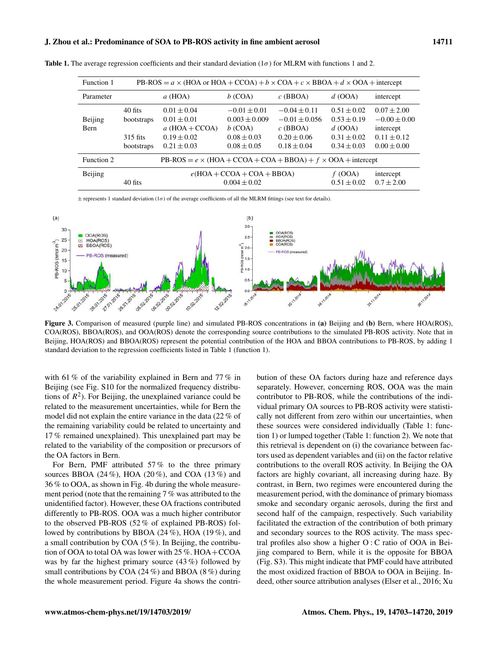| Function 1  | PB-ROS = $a \times$ (HOA or HOA + CCOA) + $b \times$ COA + $c \times$ BBOA + $d \times$ OOA + intercept |                                                        |                                                 |                                                  |                                                 |                                                 |
|-------------|---------------------------------------------------------------------------------------------------------|--------------------------------------------------------|-------------------------------------------------|--------------------------------------------------|-------------------------------------------------|-------------------------------------------------|
| Parameter   |                                                                                                         | $a$ (HOA)                                              | $b$ (COA)                                       | $c$ (BBOA)                                       | $d$ (OOA)                                       | intercept                                       |
| Beijing     | 40 fits<br>bootstraps                                                                                   | $0.01 \pm 0.04$<br>$0.01 \pm 0.01$                     | $-0.01 \pm 0.01$<br>$0.003 \pm 0.009$           | $-0.04 \pm 0.11$<br>$-0.01 \pm 0.056$            | $0.51 \pm 0.02$<br>$0.53 \pm 0.19$              | $0.07 \pm 2.00$<br>$-0.00 \pm 0.00$             |
| <b>Bern</b> | $315$ fits<br>bootstraps                                                                                | a $(HOA + CCOA)$<br>$0.19 \pm 0.02$<br>$0.21 \pm 0.03$ | $b$ (COA)<br>$0.08 \pm 0.03$<br>$0.08 \pm 0.05$ | $c$ (BBOA)<br>$0.20 \pm 0.06$<br>$0.18 \pm 0.04$ | $d$ (OOA)<br>$0.31 \pm 0.02$<br>$0.34 \pm 0.03$ | intercept<br>$0.11 \pm 0.12$<br>$0.00 \pm 0.00$ |
| Function 2  | PB-ROS = $e \times (HOA + CCOA + COA + BBOA) + f \times OOA +$ intercept                                |                                                        |                                                 |                                                  |                                                 |                                                 |
| Beijing     | 40 fits                                                                                                 | $e(HOA + CCOA + COA + BBOA)$<br>$0.004 \pm 0.02$       |                                                 |                                                  | $f$ (OOA)<br>$0.51 \pm 0.02$                    | intercept<br>$0.7 \pm 2.00$                     |

Table 1. The average regression coefficients and their standard deviation  $(1\sigma)$  for MLRM with functions 1 and 2.

 $\pm$  represents 1 standard deviation (1 $\sigma$ ) of the average coefficients of all the MLRM fittings (see text for details).



Figure 3. Comparison of measured (purple line) and simulated PB-ROS concentrations in (a) Beijing and (b) Bern, where HOA(ROS), COA(ROS), BBOA(ROS), and OOA(ROS) denote the corresponding source contributions to the simulated PB-ROS activity. Note that in Beijing, HOA(ROS) and BBOA(ROS) represent the potential contribution of the HOA and BBOA contributions to PB-ROS, by adding 1 standard deviation to the regression coefficients listed in Table 1 (function 1).

with 61 % of the variability explained in Bern and 77 % in Beijing (see Fig. S10 for the normalized frequency distributions of  $R^2$ ). For Beijing, the unexplained variance could be related to the measurement uncertainties, while for Bern the model did not explain the entire variance in the data (22 % of the remaining variability could be related to uncertainty and 17 % remained unexplained). This unexplained part may be related to the variability of the composition or precursors of the OA factors in Bern.

For Bern, PMF attributed 57 % to the three primary sources BBOA (24 %), HOA (20 %), and COA (13 %) and 36 % to OOA, as shown in Fig. 4b during the whole measurement period (note that the remaining 7 % was attributed to the unidentified factor). However, these OA fractions contributed differently to PB-ROS. OOA was a much higher contributor to the observed PB-ROS (52 % of explained PB-ROS) followed by contributions by BBOA (24 %), HOA (19 %), and a small contribution by COA (5 %). In Beijing, the contribution of OOA to total OA was lower with 25 %. HOA+CCOA was by far the highest primary source (43 %) followed by small contributions by COA (24 %) and BBOA (8 %) during the whole measurement period. Figure 4a shows the contribution of these OA factors during haze and reference days separately. However, concerning ROS, OOA was the main contributor to PB-ROS, while the contributions of the individual primary OA sources to PB-ROS activity were statistically not different from zero within our uncertainties, when these sources were considered individually (Table 1: function 1) or lumped together (Table 1: function 2). We note that this retrieval is dependent on (i) the covariance between factors used as dependent variables and (ii) on the factor relative contributions to the overall ROS activity. In Beijing the OA factors are highly covariant, all increasing during haze. By contrast, in Bern, two regimes were encountered during the measurement period, with the dominance of primary biomass smoke and secondary organic aerosols, during the first and second half of the campaign, respectively. Such variability facilitated the extraction of the contribution of both primary and secondary sources to the ROS activity. The mass spectral profiles also show a higher O : C ratio of OOA in Beijing compared to Bern, while it is the opposite for BBOA (Fig. S3). This might indicate that PMF could have attributed the most oxidized fraction of BBOA to OOA in Beijing. Indeed, other source attribution analyses (Elser et al., 2016; Xu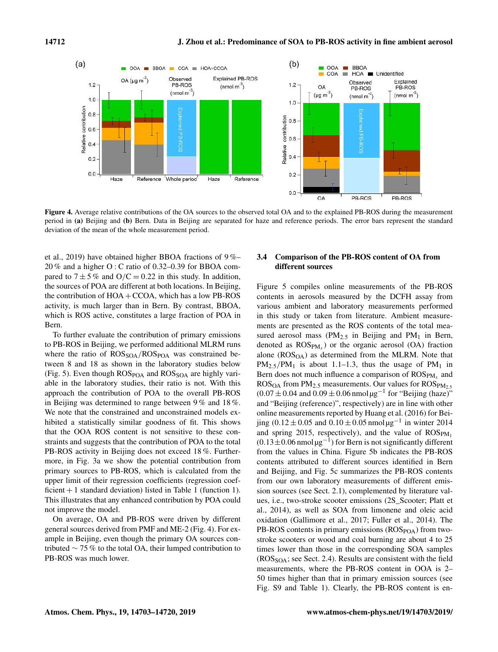

Figure 4. Average relative contributions of the OA sources to the observed total OA and to the explained PB-ROS during the measurement period in (a) Beijing and (b) Bern. Data in Beijing are separated for haze and reference periods. The error bars represent the standard deviation of the mean of the whole measurement period.

et al., 2019) have obtained higher BBOA fractions of 9 %– 20 % and a higher O : C ratio of 0.32–0.39 for BBOA compared to  $7 \pm 5\%$  and  $O/C = 0.22$  in this study. In addition, the sources of POA are different at both locations. In Beijing, the contribution of  $HOA + CCOA$ , which has a low PB-ROS activity, is much larger than in Bern. By contrast, BBOA, which is ROS active, constitutes a large fraction of POA in Bern.

To further evaluate the contribution of primary emissions to PB-ROS in Beijing, we performed additional MLRM runs where the ratio of  $\text{ROS}_{\text{SOA}}/\text{ROS}_{\text{POA}}$  was constrained between 8 and 18 as shown in the laboratory studies below (Fig. 5). Even though  $\text{ROS}_{\text{POA}}$  and  $\text{ROS}_{\text{SOA}}$  are highly variable in the laboratory studies, their ratio is not. With this approach the contribution of POA to the overall PB-ROS in Beijing was determined to range between 9 % and 18 %. We note that the constrained and unconstrained models exhibited a statistically similar goodness of fit. This shows that the OOA ROS content is not sensitive to these constraints and suggests that the contribution of POA to the total PB-ROS activity in Beijing does not exceed 18 %. Furthermore, in Fig. 3a we show the potential contribution from primary sources to PB-ROS, which is calculated from the upper limit of their regression coefficients (regression coefficient + 1 standard deviation) listed in Table 1 (function 1). This illustrates that any enhanced contribution by POA could not improve the model.

On average, OA and PB-ROS were driven by different general sources derived from PMF and ME-2 (Fig. 4). For example in Beijing, even though the primary OA sources contributed  $\sim$  75 % to the total OA, their lumped contribution to PB-ROS was much lower.

# 3.4 Comparison of the PB-ROS content of OA from different sources

Figure 5 compiles online measurements of the PB-ROS contents in aerosols measured by the DCFH assay from various ambient and laboratory measurements performed in this study or taken from literature. Ambient measurements are presented as the ROS contents of the total measured aerosol mass ( $PM_{2.5}$  in Beijing and  $PM_1$  in Bern, denoted as  $\text{ROS}_{\text{PM}_x}$ ) or the organic aerosol (OA) fraction alone  $(ROS<sub>OA</sub>)$  as determined from the MLRM. Note that  $PM_{2.5}/PM_1$  is about 1.1–1.3, thus the usage of  $PM_1$  in Bern does not much influence a comparison of  $\mathrm{ROS}_{\mathrm{PM}_x}$  and  $ROS<sub>OA</sub>$  from  $PM<sub>2.5</sub>$  measurements. Our values for  $ROS<sub>PM<sub>2.5</sub></sub>$  $(0.07 \pm 0.04$  and  $(0.09 \pm 0.06$  nmol  $\mu$ g<sup>-1</sup> for "Beijing (haze)" and "Beijing (reference)", respectively) are in line with other online measurements reported by Huang et al. (2016) for Beijing (0.12 ± 0.05 and 0.10 ± 0.05 nmol μg<sup>-1</sup> in winter 2014 and spring 2015, respectively), and the value of  $ROS_{PM_1}$  $(0.13 \pm 0.06$  nmol  $\mu$ g<sup>-1</sup>) for Bern is not significantly different from the values in China. Figure 5b indicates the PB-ROS contents attributed to different sources identified in Bern and Beijing, and Fig. 5c summarizes the PB-ROS contents from our own laboratory measurements of different emission sources (see Sect. 2.1), complemented by literature values, i.e., two-stroke scooter emissions (2S\_Scooter; Platt et al., 2014), as well as SOA from limonene and oleic acid oxidation (Gallimore et al., 2017; Fuller et al., 2014). The PB-ROS contents in primary emissions  $(ROS_{POA})$  from twostroke scooters or wood and coal burning are about 4 to 25 times lower than those in the corresponding SOA samples  $(ROS<sub>SOA</sub>; see Sect. 2.4)$ . Results are consistent with the field measurements, where the PB-ROS content in OOA is 2– 50 times higher than that in primary emission sources (see Fig. S9 and Table 1). Clearly, the PB-ROS content is en-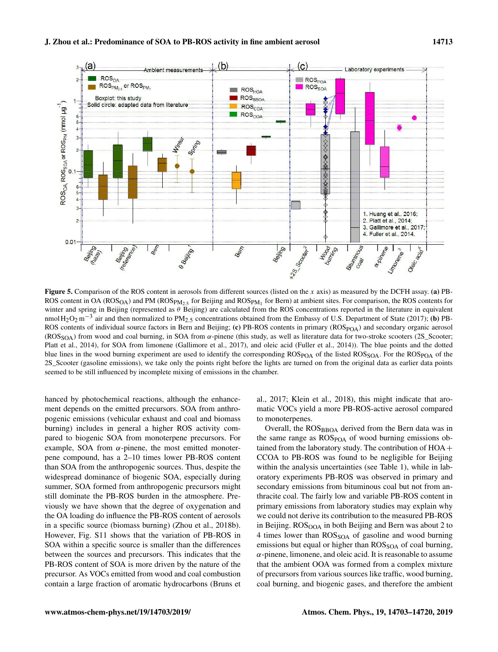

**Figure 5.** Comparison of the ROS content in aerosols from different sources (listed on the x axis) as measured by the DCFH assay. (a) PB-ROS content in OA ( $ROS_{OA}$ ) and PM ( $ROS_{PM_{2.5}}$  for Beijing and  $ROS_{PM_1}$  for Bern) at ambient sites. For comparison, the ROS contents for winter and spring in Beijing (represented as  $\theta$  Beijing) are calculated from the ROS concentrations reported in the literature in equivalent nmol H<sub>2</sub>O<sub>2</sub> m<sup>-3</sup> air and then normalized to PM<sub>2.5</sub> concentrations obtained from the Embassy of U.S. Department of State (2017); (b) PB-ROS contents of individual source factors in Bern and Beijing; (c) PB-ROS contents in primary (ROS<sub>POA</sub>) and secondary organic aerosol (ROS<sub>SOA</sub>) from wood and coal burning, in SOA from  $\alpha$ -pinene (this study, as well as literature data for two-stroke scooters (2S\_Scooter; Platt et al., 2014), for SOA from limonene (Gallimore et al., 2017), and oleic acid (Fuller et al., 2014)). The blue points and the dotted blue lines in the wood burning experiment are used to identify the corresponding ROS<sub>POA</sub> of the listed ROS<sub>SOA</sub>. For the ROS<sub>POA</sub> of the 2S\_Scooter (gasoline emissions), we take only the points right before the lights are turned on from the original data as earlier data points seemed to be still influenced by incomplete mixing of emissions in the chamber.

hanced by photochemical reactions, although the enhancement depends on the emitted precursors. SOA from anthropogenic emissions (vehicular exhaust and coal and biomass burning) includes in general a higher ROS activity compared to biogenic SOA from monoterpene precursors. For example, SOA from  $\alpha$ -pinene, the most emitted monoterpene compound, has a 2–10 times lower PB-ROS content than SOA from the anthropogenic sources. Thus, despite the widespread dominance of biogenic SOA, especially during summer, SOA formed from anthropogenic precursors might still dominate the PB-ROS burden in the atmosphere. Previously we have shown that the degree of oxygenation and the OA loading do influence the PB-ROS content of aerosols in a specific source (biomass burning) (Zhou et al., 2018b). However, Fig. S11 shows that the variation of PB-ROS in SOA within a specific source is smaller than the differences between the sources and precursors. This indicates that the PB-ROS content of SOA is more driven by the nature of the precursor. As VOCs emitted from wood and coal combustion contain a large fraction of aromatic hydrocarbons (Bruns et al., 2017; Klein et al., 2018), this might indicate that aromatic VOCs yield a more PB-ROS-active aerosol compared to monoterpenes.

Overall, the  $ROS<sub>BBOA</sub>$  derived from the Bern data was in the same range as  $\text{ROS}_{\text{POA}}$  of wood burning emissions obtained from the laboratory study. The contribution of HOA+ CCOA to PB-ROS was found to be negligible for Beijing within the analysis uncertainties (see Table 1), while in laboratory experiments PB-ROS was observed in primary and secondary emissions from bituminous coal but not from anthracite coal. The fairly low and variable PB-ROS content in primary emissions from laboratory studies may explain why we could not derive its contribution to the measured PB-ROS in Beijing.  $ROS<sub>OOA</sub>$  in both Beijing and Bern was about 2 to 4 times lower than ROS<sub>SOA</sub> of gasoline and wood burning emissions but equal or higher than  $\mathrm{ROS}_{\mathrm{SOA}}$  of coal burning,  $\alpha$ -pinene, limonene, and oleic acid. It is reasonable to assume that the ambient OOA was formed from a complex mixture of precursors from various sources like traffic, wood burning, coal burning, and biogenic gases, and therefore the ambient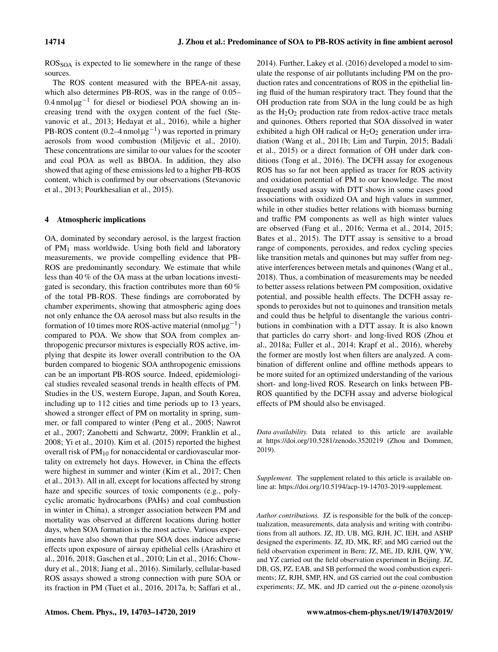ROSSOA is expected to lie somewhere in the range of these sources.

The ROS content measured with the BPEA-nit assay, which also determines PB-ROS, was in the range of 0.05– 0.4 nmol μg<sup>-1</sup> for diesel or biodiesel POA showing an increasing trend with the oxygen content of the fuel (Stevanovic et al., 2013; Hedayat et al., 2016), while a higher PB-ROS content (0.2–4 nmol  $\mu$ g<sup>-1</sup>) was reported in primary aerosols from wood combustion (Miljevic et al., 2010). These concentrations are similar to our values for the scooter and coal POA as well as BBOA. In addition, they also showed that aging of these emissions led to a higher PB-ROS content, which is confirmed by our observations (Stevanovic et al., 2013; Pourkhesalian et al., 2015).

# 4 Atmospheric implications

OA, dominated by secondary aerosol, is the largest fraction of PM<sup>1</sup> mass worldwide. Using both field and laboratory measurements, we provide compelling evidence that PB-ROS are predominantly secondary. We estimate that while less than 40 % of the OA mass at the urban locations investigated is secondary, this fraction contributes more than 60 % of the total PB-ROS. These findings are corroborated by chamber experiments, showing that atmospheric aging does not only enhance the OA aerosol mass but also results in the formation of 10 times more ROS-active material (nmol  $\mu$ g<sup>-1</sup>) compared to POA. We show that SOA from complex anthropogenic precursor mixtures is especially ROS active, implying that despite its lower overall contribution to the OA burden compared to biogenic SOA anthropogenic emissions can be an important PB-ROS source. Indeed, epidemiological studies revealed seasonal trends in health effects of PM. Studies in the US, western Europe, Japan, and South Korea, including up to 112 cities and time periods up to 13 years, showed a stronger effect of PM on mortality in spring, summer, or fall compared to winter (Peng et al., 2005; Nawrot et al., 2007; Zanobetti and Schwartz, 2009; Franklin et al., 2008; Yi et al., 2010). Kim et al. (2015) reported the highest overall risk of  $PM_{10}$  for nonaccidental or cardiovascular mortality on extremely hot days. However, in China the effects were highest in summer and winter (Kim et al., 2017; Chen et al., 2013). All in all, except for locations affected by strong haze and specific sources of toxic components (e.g., polycyclic aromatic hydrocarbons (PAHs) and coal combustion in winter in China), a stronger association between PM and mortality was observed at different locations during hotter days, when SOA formation is the most active. Various experiments have also shown that pure SOA does induce adverse effects upon exposure of airway epithelial cells (Arashiro et al., 2016, 2018; Gaschen et al., 2010; Lin et al., 2016; Chowdury et al., 2018; Jiang et al., 2016). Similarly, cellular-based ROS assays showed a strong connection with pure SOA or its fraction in PM (Tuet et al., 2016, 2017a, b; Saffari et al., 2014). Further, Lakey et al. (2016) developed a model to simulate the response of air pollutants including PM on the production rates and concentrations of ROS in the epithelial lining fluid of the human respiratory tract. They found that the OH production rate from SOA in the lung could be as high as the  $H_2O_2$  production rate from redox-active trace metals and quinones. Others reported that SOA dissolved in water exhibited a high OH radical or  $H_2O_2$  generation under irradiation (Wang et al., 2011b; Lim and Turpin, 2015; Badali et al., 2015) or a direct formation of OH under dark conditions (Tong et al., 2016). The DCFH assay for exogenous ROS has so far not been applied as tracer for ROS activity and oxidation potential of PM to our knowledge. The most frequently used assay with DTT shows in some cases good associations with oxidized OA and high values in summer, while in other studies better relations with biomass burning and traffic PM components as well as high winter values are observed (Fang et al., 2016; Verma et al., 2014, 2015; Bates et al., 2015). The DTT assay is sensitive to a broad range of components, peroxides, and redox cycling species like transition metals and quinones but may suffer from negative interferences between metals and quinones (Wang et al., 2018). Thus, a combination of measurements may be needed to better assess relations between PM composition, oxidative potential, and possible health effects. The DCFH assay responds to peroxides but not to quinones and transition metals and could thus be helpful to disentangle the various contributions in combination with a DTT assay. It is also known that particles do carry short- and long-lived ROS (Zhou et al., 2018a; Fuller et al., 2014; Krapf et al., 2016), whereby the former are mostly lost when filters are analyzed. A combination of different online and offline methods appears to be more suited for an optimized understanding of the various short- and long-lived ROS. Research on links between PB-ROS quantified by the DCFH assay and adverse biological effects of PM should also be envisaged.

*Data availability.* Data related to this article are available at https://doi.org/10.5281/zenodo.3520219 (Zhou and Dommen, 2019).

*Supplement.* The supplement related to this article is available online at: https://doi.org/10.5194/acp-19-14703-2019-supplement.

*Author contributions.* JZ is responsible for the bulk of the conceptualization, measurements, data analysis and writing with contributions from all authors. JZ, JD, UB, MG, RJH, JC, IEH, and ASHP designed the experiments. JZ, JD, MK, RF, and MG carried out the field observation experiment in Bern; JZ, ME, JD, RJH, QW, YW, and YZ carried out the field observation experiment in Beijing. JZ, DB, GS, PZ, EAB, and SB performed the wood combustion experiments; JZ, RJH, SMP, HN, and GS carried out the coal combustion experiments; JZ, MK, and JD carried out the  $\alpha$ -pinene ozonolysis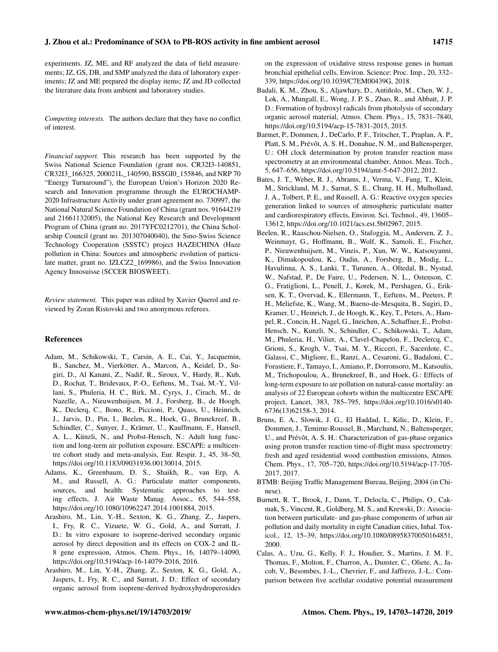experiments. JZ, ME, and RF analyzed the data of field measurements; JZ, GS, DB, and SMP analyzed the data of laboratory experiments; JZ and ME prepared the display items; JZ and JD collected the literature data from ambient and laboratory studies.

*Competing interests.* The authors declare that they have no conflict of interest.

*Financial support.* This research has been supported by the Swiss National Science Foundation (grant nos. CR32I3-140851, CR32I3\_166325, 200021L\_140590, BSSGI0\_155846, and NRP 70 "Energy Turnaround"), the European Union's Horizon 2020 Research and Innovation programme through the EUROCHAMP-2020 Infrastructure Activity under grant agreement no. 730997, the National Natural Science Foundation of China (grant nos. 91644219 and 21661132005), the National Key Research and Development Program of China (grant no. 2017YFC0212701), the China Scholarship Council (grant no. 201307040040), the Sino-Swiss Science Technology Cooperation (SSSTC) project HAZECHINA (Haze pollution in China: Sources and atmospheric evolution of particulate matter, grant no. IZLCZ2\_169986), and the Swiss Innovation Agency Innosuisse (SCCER BIOSWEET).

*Review statement.* This paper was edited by Xavier Querol and reviewed by Zoran Ristovski and two anonymous referees.

## References

- Adam, M., Schikowski, T., Carsin, A. E., Cai, Y., Jacquemin, B., Sanchez, M., Vierkötter, A., Marcon, A., Keidel, D., Sugiri, D., Al Kanani, Z., Nadif, R., Siroux, V., Hardy, R., Kuh, D., Rochat, T., Bridevaux, P.-O., Eeftens, M., Tsai, M.-Y., Villani, S., Phuleria, H. C., Birk, M., Cyrys, J., Cirach, M., de Nazelle, A., Nieuwenhuijsen, M. J., Forsberg, B., de Hoogh, K., Declerq, C., Bono, R., Piccioni, P., Quass, U., Heinrich, J., Jarvis, D., Pin, I., Beelen, R., Hoek, G., Brunekreef, B., Schindler, C., Sunyer, J., Krämer, U., Kauffmann, F., Hansell, A. L., Künzli, N., and Probst-Hensch, N.: Adult lung function and long-term air pollution exposure. ESCAPE: a multicentre cohort study and meta-analysis, Eur. Respir. J., 45, 38–50, https://doi.org/10.1183/09031936.00130014, 2015.
- Adams, K., Greenbaum, D. S., Shaikh, R., van Erp, A. M., and Russell, A. G.: Particulate matter components, sources, and health: Systematic approaches to testing effects, J. Air Waste Manag. Assoc., 65, 544–558, https://doi.org/10.1080/10962247.2014.1001884, 2015.
- Arashiro, M., Lin, Y.-H., Sexton, K. G., Zhang, Z., Jaspers, I., Fry, R. C., Vizuete, W. G., Gold, A., and Surratt, J. D.: In vitro exposure to isoprene-derived secondary organic aerosol by direct deposition and its effects on COX-2 and IL-8 gene expression, Atmos. Chem. Phys., 16, 14079–14090, https://doi.org/10.5194/acp-16-14079-2016, 2016.
- Arashiro, M., Lin, Y.-H., Zhang, Z., Sexton, K. G., Gold, A., Jaspers, I., Fry, R. C., and Surratt, J. D.: Effect of secondary organic aerosol from isoprene-derived hydroxyhydroperoxides

on the expression of oxidative stress response genes in human bronchial epithelial cells, Environ. Science: Proc. Imp., 20, 332– 339, https://doi.org/10.1039/C7EM00439G, 2018.

- Badali, K. M., Zhou, S., Aljawhary, D., Antiñolo, M., Chen, W. J., Lok, A., Mungall, E., Wong, J. P. S., Zhao, R., and Abbatt, J. P. D.: Formation of hydroxyl radicals from photolysis of secondary organic aerosol material, Atmos. Chem. Phys., 15, 7831–7840, https://doi.org/10.5194/acp-15-7831-2015, 2015.
- Barmet, P., Dommen, J., DeCarlo, P. F., Tritscher, T., Praplan, A. P., Platt, S. M., Prévôt, A. S. H., Donahue, N. M., and Baltensperger, U.: OH clock determination by proton transfer reaction mass spectrometry at an environmental chamber, Atmos. Meas. Tech., 5, 647–656, https://doi.org/10.5194/amt-5-647-2012, 2012.
- Bates, J. T., Weber, R. J., Abrams, J., Verma, V., Fang, T., Klein, M., Strickland, M. J., Sarnat, S. E., Chang, H. H., Mulholland, J. A., Tolbert, P. E., and Russell, A. G.: Reactive oxygen species generation linked to sources of atmospheric particulate matter and cardiorespiratory effects, Environ. Sci. Technol., 49, 13605– 13612, https://doi.org/10.1021/acs.est.5b02967, 2015.
- Beelen, R., Raaschou-Nielsen, O., Stafoggia, M., Andersen, Z. J., Weinmayr, G., Hoffmann, B., Wolf, K., Samoli, E., Fischer, P., Nieuwenhuijsen, M., Vineis, P., Xun, W. W., Katsouyanni, K., Dimakopoulou, K., Oudin, A., Forsberg, B., Modig, L., Havulinna, A. S., Lanki, T., Turunen, A., Oftedal, B., Nystad, W., Nafstad, P., De Faire, U., Pedersen, N. L., Ostenson, C. G., Fratiglioni, L., Penell, J., Korek, M., Pershagen, G., Eriksen, K. T., Overvad, K., Ellermann, T., Eeftens, M., Peeters, P. H., Meliefste, K., Wang, M., Bueno-de-Mesquita, B., Sugiri, D., Kramer, U., Heinrich, J., de Hoogh, K., Key, T., Peters, A., Hampel, R., Concin, H., Nagel, G., Ineichen, A., Schaffner, E., Probst-Hensch, N., Kunzli, N., Schindler, C., Schikowski, T., Adam, M., Phuleria, H., Vilier, A., Clavel-Chapelon, F., Declercq, C., Grioni, S., Krogh, V., Tsai, M. Y., Ricceri, F., Sacerdote, C., Galassi, C., Migliore, E., Ranzi, A., Cesaroni, G., Badaloni, C., Forastiere, F., Tamayo, I., Amiano, P., Dorronsoro, M., Katsoulis, M., Trichopoulou, A., Brunekreef, B., and Hoek, G.: Effects of long-term exposure to air pollution on natural-cause mortality: an analysis of 22 European cohorts within the multicentre ESCAPE project, Lancet, 383, 785–795, https://doi.org/10.1016/s0140- 6736(13)62158-3, 2014.
- Bruns, E. A., Slowik, J. G., El Haddad, I., Kilic, D., Klein, F., Dommen, J., Temime-Roussel, B., Marchand, N., Baltensperger, U., and Prévôt, A. S. H.: Characterization of gas-phase organics using proton transfer reaction time-of-flight mass spectrometry: fresh and aged residential wood combustion emissions, Atmos. Chem. Phys., 17, 705–720, https://doi.org/10.5194/acp-17-705- 2017, 2017.
- BTMB: Beijing Traffic Management Bureau, Beijing, 2004 (in Chinese).
- Burnett, R. T., Brook, J., Dann, T., Delocla, C., Philips, O., Cakmak, S., Vincent, R., Goldberg, M. S., and Krewski, D.: Association between particulate- and gas-phase components of urban air pollution and daily mortality in eight Canadian cities, Inhal. Toxicol., 12, 15–39, https://doi.org/10.1080/08958370050164851, 2000.
- Calas, A., Uzu, G., Kelly, F. J., Houdier, S., Martins, J. M. F., Thomas, F., Molton, F., Charron, A., Dunster, C., Oliete, A., Jacob, V., Besombes, J.-L., Chevrier, F., and Jaffrezo, J.-L.: Comparison between five acellular oxidative potential measurement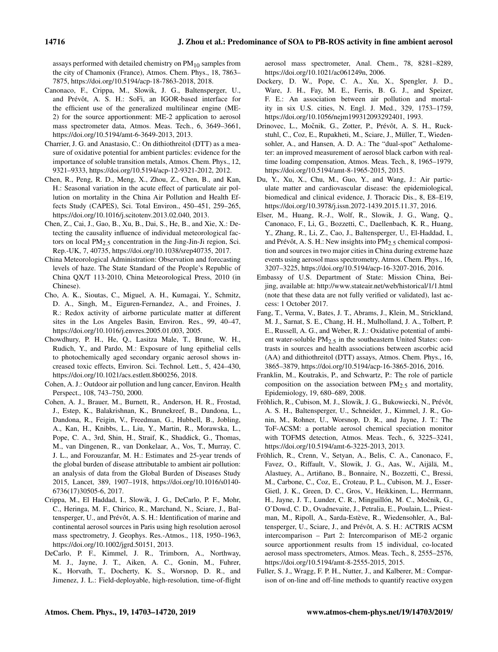assays performed with detailed chemistry on  $PM_{10}$  samples from the city of Chamonix (France), Atmos. Chem. Phys., 18, 7863– 7875, https://doi.org/10.5194/acp-18-7863-2018, 2018.

- Canonaco, F., Crippa, M., Slowik, J. G., Baltensperger, U., and Prévôt, A. S. H.: SoFi, an IGOR-based interface for the efficient use of the generalized multilinear engine (ME-2) for the source apportionment: ME-2 application to aerosol mass spectrometer data, Atmos. Meas. Tech., 6, 3649–3661, https://doi.org/10.5194/amt-6-3649-2013, 2013.
- Charrier, J. G. and Anastasio, C.: On dithiothreitol (DTT) as a measure of oxidative potential for ambient particles: evidence for the importance of soluble transition metals, Atmos. Chem. Phys., 12, 9321–9333, https://doi.org/10.5194/acp-12-9321-2012, 2012.
- Chen, R., Peng, R. D., Meng, X., Zhou, Z., Chen, B., and Kan, H.: Seasonal variation in the acute effect of particulate air pollution on mortality in the China Air Pollution and Health Effects Study (CAPES), Sci. Total Environ., 450–451, 259–265, https://doi.org/10.1016/j.scitotenv.2013.02.040, 2013.
- Chen, Z., Cai, J., Gao, B., Xu, B., Dai, S., He, B., and Xie, X.: Detecting the causality influence of individual meteorological factors on local  $PM_{2.5}$  concentration in the Jing-Jin-Ji region, Sci. Rep.-UK, 7, 40735, https://doi.org/10.1038/srep40735, 2017.
- China Meteorological Administration: Observation and forecasting levels of haze. The State Standard of the People's Republic of China QX/T 113-2010, China Meteorological Press, 2010 (in Chinese).
- Cho, A. K., Sioutas, C., Miguel, A. H., Kumagai, Y., Schmitz, D. A., Singh, M., Eiguren-Fernandez, A., and Froines, J. R.: Redox activity of airborne particulate matter at different sites in the Los Angeles Basin, Environ. Res., 99, 40–47, https://doi.org/10.1016/j.envres.2005.01.003, 2005.
- Chowdhury, P. H., He, Q., Lasitza Male, T., Brune, W. H., Rudich, Y., and Pardo, M.: Exposure of lung epithelial cells to photochemically aged secondary organic aerosol shows increased toxic effects, Environ. Sci. Technol. Lett., 5, 424–430, https://doi.org/10.1021/acs.estlett.8b00256, 2018.
- Cohen, A. J.: Outdoor air pollution and lung cancer, Environ. Health Perspect., 108, 743–750, 2000.
- Cohen, A. J., Brauer, M., Burnett, R., Anderson, H. R., Frostad, J., Estep, K., Balakrishnan, K., Brunekreef, B., Dandona, L., Dandona, R., Feigin, V., Freedman, G., Hubbell, B., Jobling, A., Kan, H., Knibbs, L., Liu, Y., Martin, R., Morawska, L., Pope, C. A., 3rd, Shin, H., Straif, K., Shaddick, G., Thomas, M., van Dingenen, R., van Donkelaar, A., Vos, T., Murray, C. J. L., and Forouzanfar, M. H.: Estimates and 25-year trends of the global burden of disease attributable to ambient air pollution: an analysis of data from the Global Burden of Diseases Study 2015, Lancet, 389, 1907–1918, https://doi.org/10.1016/s0140- 6736(17)30505-6, 2017.
- Crippa, M., El Haddad, I., Slowik, J. G., DeCarlo, P. F., Mohr, C., Heringa, M. F., Chirico, R., Marchand, N., Sciare, J., Baltensperger, U., and Prévôt, A. S. H.: Identification of marine and continental aerosol sources in Paris using high resolution aerosol mass spectrometry, J. Geophys. Res.-Atmos., 118, 1950–1963, https://doi.org/10.1002/jgrd.50151, 2013.
- DeCarlo, P. F., Kimmel, J. R., Trimborn, A., Northway, M. J., Jayne, J. T., Aiken, A. C., Gonin, M., Fuhrer, K., Horvath, T., Docherty, K. S., Worsnop, D. R., and Jimenez, J. L.: Field-deployable, high-resolution, time-of-flight

aerosol mass spectrometer, Anal. Chem., 78, 8281–8289, https://doi.org/10.1021/ac061249n, 2006.

- Dockery, D. W., Pope, C. A., Xu, X., Spengler, J. D., Ware, J. H., Fay, M. E., Ferris, B. G. J., and Speizer, F. E.: An association between air pollution and mortality in six U.S. cities, N. Engl. J. Med., 329, 1753–1759, https://doi.org/10.1056/nejm199312093292401, 1993.
- Drinovec, L., Močnik, G., Zotter, P., Prévôt, A. S. H., Ruckstuhl, C., Coz, E., Rupakheti, M., Sciare, J., Müller, T., Wiedensohler, A., and Hansen, A. D. A.: The "dual-spot" Aethalometer: an improved measurement of aerosol black carbon with realtime loading compensation, Atmos. Meas. Tech., 8, 1965–1979, https://doi.org/10.5194/amt-8-1965-2015, 2015.
- Du, Y., Xu, X., Chu, M., Guo, Y., and Wang, J.: Air particulate matter and cardiovascular disease: the epidemiological, biomedical and clinical evidence, J. Thoracic Dis., 8, E8–E19, https://doi.org/10.3978/j.issn.2072-1439.2015.11.37, 2016.
- Elser, M., Huang, R.-J., Wolf, R., Slowik, J. G., Wang, Q., Canonaco, F., Li, G., Bozzetti, C., Daellenbach, K. R., Huang, Y., Zhang, R., Li, Z., Cao, J., Baltensperger, U., El-Haddad, I., and Prévôt, A. S. H.: New insights into  $PM_{2.5}$  chemical composition and sources in two major cities in China during extreme haze events using aerosol mass spectrometry, Atmos. Chem. Phys., 16, 3207–3225, https://doi.org/10.5194/acp-16-3207-2016, 2016.
- Embassy of U.S. Department of State: Mission China, Beijing, available at: http://www.stateair.net/web/historical/1/1.html (note that these data are not fully verified or validated), last access: 1 October 2017.
- Fang, T., Verma, V., Bates, J. T., Abrams, J., Klein, M., Strickland, M. J., Sarnat, S. E., Chang, H. H., Mulholland, J. A., Tolbert, P. E., Russell, A. G., and Weber, R. J.: Oxidative potential of ambient water-soluble  $PM_{2.5}$  in the southeastern United States: contrasts in sources and health associations between ascorbic acid (AA) and dithiothreitol (DTT) assays, Atmos. Chem. Phys., 16, 3865–3879, https://doi.org/10.5194/acp-16-3865-2016, 2016.
- Franklin, M., Koutrakis, P., and Schwartz, P.: The role of particle composition on the association between  $PM_{2.5}$  and mortality, Epidemiology, 19, 680–689, 2008.
- Fröhlich, R., Cubison, M. J., Slowik, J. G., Bukowiecki, N., Prévôt, A. S. H., Baltensperger, U., Schneider, J., Kimmel, J. R., Gonin, M., Rohner, U., Worsnop, D. R., and Jayne, J. T.: The ToF-ACSM: a portable aerosol chemical speciation monitor with TOFMS detection, Atmos. Meas. Tech., 6, 3225–3241, https://doi.org/10.5194/amt-6-3225-2013, 2013.
- Fröhlich, R., Crenn, V., Setyan, A., Belis, C. A., Canonaco, F., Favez, O., Riffault, V., Slowik, J. G., Aas, W., Aijälä, M., Alastuey, A., Artiñano, B., Bonnaire, N., Bozzetti, C., Bressi, M., Carbone, C., Coz, E., Croteau, P. L., Cubison, M. J., Esser-Gietl, J. K., Green, D. C., Gros, V., Heikkinen, L., Herrmann, H., Jayne, J. T., Lunder, C. R., Minguillón, M. C., Močnik, G., O'Dowd, C. D., Ovadnevaite, J., Petralia, E., Poulain, L., Priestman, M., Ripoll, A., Sarda-Estève, R., Wiedensohler, A., Baltensperger, U., Sciare, J., and Prévôt, A. S. H.: ACTRIS ACSM intercomparison – Part 2: Intercomparison of ME-2 organic source apportionment results from 15 individual, co-located aerosol mass spectrometers, Atmos. Meas. Tech., 8, 2555–2576, https://doi.org/10.5194/amt-8-2555-2015, 2015.
- Fuller, S. J., Wragg, F. P. H., Nutter, J., and Kalberer, M.: Comparison of on-line and off-line methods to quantify reactive oxygen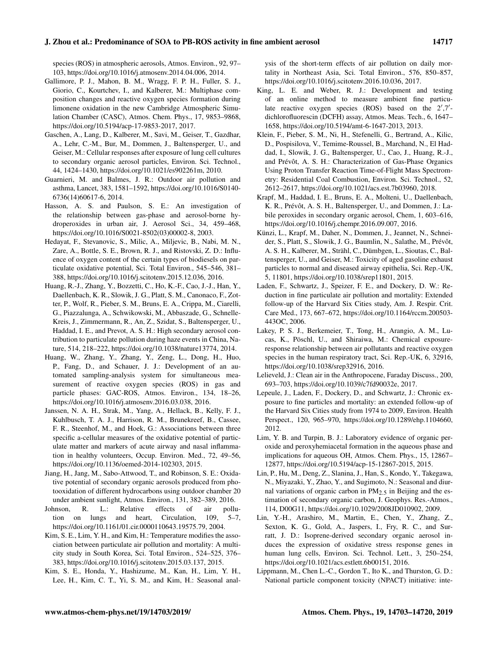species (ROS) in atmospheric aerosols, Atmos. Environ., 92, 97– 103, https://doi.org/10.1016/j.atmosenv.2014.04.006, 2014.

- Gallimore, P. J., Mahon, B. M., Wragg, F. P. H., Fuller, S. J., Giorio, C., Kourtchev, I., and Kalberer, M.: Multiphase composition changes and reactive oxygen species formation during limonene oxidation in the new Cambridge Atmospheric Simulation Chamber (CASC), Atmos. Chem. Phys., 17, 9853–9868, https://doi.org/10.5194/acp-17-9853-2017, 2017.
- Gaschen, A., Lang, D., Kalberer, M., Savi, M., Geiser, T., Gazdhar, A., Lehr, C.-M., Bur, M., Dommen, J., Baltensperger, U., and Geiser, M.: Cellular responses after exposure of lung cell cultures to secondary organic aerosol particles, Environ. Sci. Technol., 44, 1424–1430, https://doi.org/10.1021/es902261m, 2010.
- Guarnieri, M. and Balmes, J. R.: Outdoor air pollution and asthma, Lancet, 383, 1581–1592, https://doi.org/10.1016/S0140- 6736(14)60617-6, 2014.
- Hasson, A. S. and Paulson, S. E.: An investigation of the relationship between gas-phase and aerosol-borne hydroperoxides in urban air, J. Aerosol Sci., 34, 459–468, https://doi.org/10.1016/S0021-8502(03)00002-8, 2003.
- Hedayat, F., Stevanovic, S., Milic, A., Miljevic, B., Nabi, M. N., Zare, A., Bottle, S. E., Brown, R. J., and Ristovski, Z. D.: Influence of oxygen content of the certain types of biodiesels on particulate oxidative potential, Sci. Total Environ., 545–546, 381– 388, https://doi.org/10.1016/j.scitotenv.2015.12.036, 2016.
- Huang, R.-J., Zhang, Y., Bozzetti, C., Ho, K.-F., Cao, J.-J., Han, Y., Daellenbach, K. R., Slowik, J. G., Platt, S. M., Canonaco, F., Zotter, P., Wolf, R., Pieber, S. M., Bruns, E. A., Crippa, M., Ciarelli, G., Piazzalunga, A., Schwikowski, M., Abbaszade, G., Schnelle-Kreis, J., Zimmermann, R., An, Z., Szidat, S., Baltensperger, U., Haddad, I. E., and Prevot, A. S. H.: High secondary aerosol contribution to particulate pollution during haze events in China, Nature, 514, 218–222, https://doi.org/10.1038/nature13774, 2014.
- Huang, W., Zhang, Y., Zhang, Y., Zeng, L., Dong, H., Huo, P., Fang, D., and Schauer, J. J.: Development of an automated sampling-analysis system for simultaneous measurement of reactive oxygen species (ROS) in gas and particle phases: GAC-ROS, Atmos. Environ., 134, 18–26, https://doi.org/10.1016/j.atmosenv.2016.03.038, 2016.
- Janssen, N. A. H., Strak, M., Yang, A., Hellack, B., Kelly, F. J., Kuhlbusch, T. A. J., Harrison, R. M., Brunekreef, B., Cassee, F. R., Steenhof, M., and Hoek, G.: Associations between three specific a-cellular measures of the oxidative potential of particulate matter and markers of acute airway and nasal inflammation in healthy volunteers, Occup. Environ. Med., 72, 49–56, https://doi.org/10.1136/oemed-2014-102303, 2015.
- Jiang, H., Jang, M., Sabo-Attwood, T., and Robinson, S. E.: Oxidative potential of secondary organic aerosols produced from photooxidation of different hydrocarbons using outdoor chamber 20 under ambient sunlight, Atmos. Environ., 131, 382–389, 2016.
- Johnson, R. L.: Relative effects of air pollution on lungs and heart, Circulation, 109, 5–7, https://doi.org/10.1161/01.cir.0000110643.19575.79, 2004.
- Kim, S. E., Lim, Y. H., and Kim, H.: Temperature modifies the association between particulate air pollution and mortality: A multicity study in South Korea, Sci. Total Environ., 524–525, 376– 383, https://doi.org/10.1016/j.scitotenv.2015.03.137, 2015.
- Kim, S. E., Honda, Y., Hashizume, M., Kan, H., Lim, Y. H., Lee, H., Kim, C. T., Yi, S. M., and Kim, H.: Seasonal anal-

ysis of the short-term effects of air pollution on daily mortality in Northeast Asia, Sci. Total Environ., 576, 850–857, https://doi.org/10.1016/j.scitotenv.2016.10.036, 2017.

- King, L. E. and Weber, R. J.: Development and testing of an online method to measure ambient fine particulate reactive oxygen species (ROS) based on the 2',7'dichlorofluorescin (DCFH) assay, Atmos. Meas. Tech., 6, 1647– 1658, https://doi.org/10.5194/amt-6-1647-2013, 2013.
- Klein, F., Pieber, S. M., Ni, H., Stefenelli, G., Bertrand, A., Kilic, D., Pospisilova, V., Temime-Roussel, B., Marchand, N., El Haddad, I., Slowik, J. G., Baltensperger, U., Cao, J., Huang, R.-J., and Prévôt, A. S. H.: Characterization of Gas-Phase Organics Using Proton Transfer Reaction Time-of-Flight Mass Spectrometry: Residential Coal Combustion, Environ. Sci. Technol., 52, 2612–2617, https://doi.org/10.1021/acs.est.7b03960, 2018.
- Krapf, M., Haddad, I. E., Bruns, E. A., Molteni, U., Daellenbach, K. R., Prévôt, A. S. H., Baltensperger, U., and Dommen, J.: Labile peroxides in secondary organic aerosol, Chem, 1, 603–616, https://doi.org/10.1016/j.chempr.2016.09.007, 2016.
- Künzi, L., Krapf, M., Daher, N., Dommen, J., Jeannet, N., Schneider, S., Platt, S., Slowik, J. G., Baumlin, N., Salathe, M., Prévôt, A. S. H., Kalberer, M., Strähl, C., Dümbgen, L., Sioutas, C., Baltensperger, U., and Geiser, M.: Toxicity of aged gasoline exhaust particles to normal and diseased airway epithelia, Sci. Rep.-UK, 5, 11801, https://doi.org/10.1038/srep11801, 2015.
- Laden, F., Schwartz, J., Speizer, F. E., and Dockery, D. W.: Reduction in fine particulate air pollution and mortality: Extended follow-up of the Harvard Six Cities study, Am. J. Respir. Crit. Care Med., 173, 667–672, https://doi.org/10.1164/rccm.200503- 443OC, 2006.
- Lakey, P. S. J., Berkemeier, T., Tong, H., Arangio, A. M., Lucas, K., Pöschl, U., and Shiraiwa, M.: Chemical exposureresponse relationship between air pollutants and reactive oxygen species in the human respiratory tract, Sci. Rep.-UK, 6, 32916, https://doi.org/10.1038/srep32916, 2016.
- Lelieveld, J.: Clean air in the Anthropocene, Faraday Discuss., 200, 693–703, https://doi.org/10.1039/c7fd90032e, 2017.
- Lepeule, J., Laden, F., Dockery, D., and Schwartz, J.: Chronic exposure to fine particles and mortality: an extended follow-up of the Harvard Six Cities study from 1974 to 2009, Environ. Health Perspect., 120, 965–970, https://doi.org/10.1289/ehp.1104660, 2012.
- Lim, Y. B. and Turpin, B. J.: Laboratory evidence of organic peroxide and peroxyhemiacetal formation in the aqueous phase and implications for aqueous OH, Atmos. Chem. Phys., 15, 12867– 12877, https://doi.org/10.5194/acp-15-12867-2015, 2015.
- Lin, P., Hu, M., Deng, Z., Slanina, J., Han, S., Kondo, Y., Takegawa, N., Miyazaki, Y., Zhao, Y., and Sugimoto, N.: Seasonal and diurnal variations of organic carbon in  $PM_{2.5}$  in Beijing and the estimation of secondary organic carbon, J. Geophys. Res.-Atmos., 114, D00G11, https://doi.org/10.1029/2008JD010902, 2009.
- Lin, Y.-H., Arashiro, M., Martin, E., Chen, Y., Zhang, Z., Sexton, K. G., Gold, A., Jaspers, I., Fry, R. C., and Surratt, J. D.: Isoprene-derived secondary organic aerosol induces the expression of oxidative stress response genes in human lung cells, Environ. Sci. Technol. Lett., 3, 250–254, https://doi.org/10.1021/acs.estlett.6b00151, 2016.
- Lippmann, M., Chen L.-C., Gordon T., Ito K., and Thurston, G. D.: National particle component toxicity (NPACT) initiative: inte-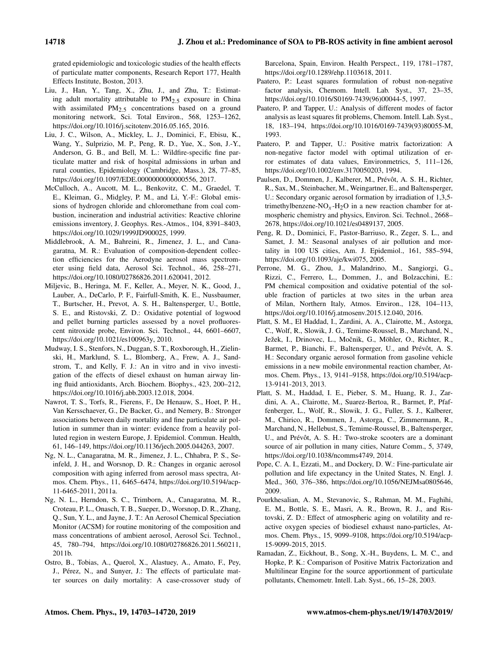grated epidemiologic and toxicologic studies of the health effects of particulate matter components, Research Report 177, Health Effects Institute, Boston, 2013.

- Liu, J., Han, Y., Tang, X., Zhu, J., and Zhu, T.: Estimating adult mortality attributable to PM2.<sup>5</sup> exposure in China with assimilated  $PM_{2.5}$  concentrations based on a ground monitoring network, Sci. Total Environ., 568, 1253–1262, https://doi.org/10.1016/j.scitotenv.2016.05.165, 2016.
- Liu, J. C., Wilson, A., Mickley, L. J., Dominici, F., Ebisu, K., Wang, Y., Sulprizio, M. P., Peng, R. D., Yue, X., Son, J.-Y., Anderson, G. B., and Bell, M. L.: Wildfire-specific fine particulate matter and risk of hospital admissions in urban and rural counties, Epidemiology (Cambridge, Mass.), 28, 77–85, https://doi.org/10.1097/EDE.0000000000000556, 2017.
- McCulloch, A., Aucott, M. L., Benkovitz, C. M., Graedel, T. E., Kleiman, G., Midgley, P. M., and Li, Y.-F.: Global emissions of hydrogen chloride and chloromethane from coal combustion, incineration and industrial activities: Reactive chlorine emissions inventory, J. Geophys. Res.-Atmos., 104, 8391–8403, https://doi.org/10.1029/1999JD900025, 1999.
- Middlebrook, A. M., Bahreini, R., Jimenez, J. L., and Canagaratna, M. R.: Evaluation of composition-dependent collection efficiencies for the Aerodyne aerosol mass spectrometer using field data, Aerosol Sci. Technol., 46, 258–271, https://doi.org/10.1080/02786826.2011.620041, 2012.
- Miljevic, B., Heringa, M. F., Keller, A., Meyer, N. K., Good, J., Lauber, A., DeCarlo, P. F., Fairfull-Smith, K. E., Nussbaumer, T., Burtscher, H., Prevot, A. S. H., Baltensperger, U., Bottle, S. E., and Ristovski, Z. D.: Oxidative potential of logwood and pellet burning particles assessed by a novel profluorescent nitroxide probe, Environ. Sci. Technol., 44, 6601–6607, https://doi.org/10.1021/es100963y, 2010.
- Mudway, I. S., Stenfors, N., Duggan, S. T., Roxborough, H., Zielinski, H., Marklund, S. L., Blomberg, A., Frew, A. J., Sandstrom, T., and Kelly, F. J.: An in vitro and in vivo investigation of the effects of diesel exhaust on human airway lining fluid antioxidants, Arch. Biochem. Biophys., 423, 200–212, https://doi.org/10.1016/j.abb.2003.12.018, 2004.
- Nawrot, T. S., Torfs, R., Fierens, F., De Henauw, S., Hoet, P. H., Van Kersschaever, G., De Backer, G., and Nemery, B.: Stronger associations between daily mortality and fine particulate air pollution in summer than in winter: evidence from a heavily polluted region in western Europe, J. Epidemiol. Commun. Health, 61, 146–149, https://doi.org/10.1136/jech.2005.044263, 2007.
- Ng, N. L., Canagaratna, M. R., Jimenez, J. L., Chhabra, P. S., Seinfeld, J. H., and Worsnop, D. R.: Changes in organic aerosol composition with aging inferred from aerosol mass spectra, Atmos. Chem. Phys., 11, 6465–6474, https://doi.org/10.5194/acp-11-6465-2011, 2011a.
- Ng, N. L., Herndon, S. C., Trimborn, A., Canagaratna, M. R., Croteau, P. L., Onasch, T. B., Sueper, D., Worsnop, D. R., Zhang, Q., Sun, Y. L., and Jayne, J. T.: An Aerosol Chemical Speciation Monitor (ACSM) for routine monitoring of the composition and mass concentrations of ambient aerosol, Aerosol Sci. Technol., 45, 780–794, https://doi.org/10.1080/02786826.2011.560211, 2011b.
- Ostro, B., Tobias, A., Querol, X., Alastuey, A., Amato, F., Pey, J., Pérez, N., and Sunyer, J.: The effects of particulate matter sources on daily mortality: A case-crossover study of

Barcelona, Spain, Environ. Health Perspect., 119, 1781–1787, https://doi.org/10.1289/ehp.1103618, 2011.

- Paatero, P.: Least squares formulation of robust non-negative factor analysis, Chemom. Intell. Lab. Syst., 37, 23-35, https://doi.org/10.1016/S0169-7439(96)00044-5, 1997.
- Paatero, P. and Tapper, U.: Analysis of different modes of factor analysis as least squares fit problems, Chemom. Intell. Lab. Syst., 18, 183–194, https://doi.org/10.1016/0169-7439(93)80055-M, 1993.
- Paatero, P. and Tapper, U.: Positive matrix factorization: A non-negative factor model with optimal utilization of error estimates of data values, Environmetrics, 5, 111–126, https://doi.org/10.1002/env.3170050203, 1994.
- Paulsen, D., Dommen, J., Kalberer, M., Prévôt, A. S. H., Richter, R., Sax, M., Steinbacher, M., Weingartner, E., and Baltensperger, U.: Secondary organic aerosol formation by irradiation of 1,3,5 trimethylbenzene-NO<sub>x</sub>-H<sub>2</sub>O in a new reaction chamber for atmospheric chemistry and physics, Environ. Sci. Technol., 2668– 2678, https://doi.org/10.1021/es0489137, 2005.
- Peng, R. D., Dominici, F., Pastor-Barriuso, R., Zeger, S. L., and Samet, J. M.: Seasonal analyses of air pollution and mortality in 100 US cities, Am. J. Epidemiol., 161, 585–594, https://doi.org/10.1093/aje/kwi075, 2005.
- Perrone, M. G., Zhou, J., Malandrino, M., Sangiorgi, G., Rizzi, C., Ferrero, L., Dommen, J., and Bolzacchini, E.: PM chemical composition and oxidative potential of the soluble fraction of particles at two sites in the urban area of Milan, Northern Italy, Atmos. Environ., 128, 104–113, https://doi.org/10.1016/j.atmosenv.2015.12.040, 2016.
- Platt, S. M., El Haddad, I., Zardini, A. A., Clairotte, M., Astorga, C., Wolf, R., Slowik, J. G., Temime-Roussel, B., Marchand, N., Ježek, I., Drinovec, L., Močnik, G., Möhler, O., Richter, R., Barmet, P., Bianchi, F., Baltensperger, U., and Prévôt, A. S. H.: Secondary organic aerosol formation from gasoline vehicle emissions in a new mobile environmental reaction chamber, Atmos. Chem. Phys., 13, 9141–9158, https://doi.org/10.5194/acp-13-9141-2013, 2013.
- Platt, S. M., Haddad, I. E., Pieber, S. M., Huang, R. J., Zardini, A. A., Clairotte, M., Suarez-Bertoa, R., Barmet, P., Pfaffenberger, L., Wolf, R., Slowik, J. G., Fuller, S. J., Kalberer, M., Chirico, R., Dommen, J., Astorga, C., Zimmermann, R., Marchand, N., Hellebust, S., Temime-Roussel, B., Baltensperger, U., and Prévôt, A. S. H.: Two-stroke scooters are a dominant source of air pollution in many cities, Nature Comm., 5, 3749, https://doi.org/10.1038/ncomms4749, 2014.
- Pope, C. A. I., Ezzati, M., and Dockery, D. W.: Fine-particulate air pollution and life expectancy in the United States, N. Engl. J. Med., 360, 376–386, https://doi.org/10.1056/NEJMsa0805646, 2009.
- Pourkhesalian, A. M., Stevanovic, S., Rahman, M. M., Faghihi, E. M., Bottle, S. E., Masri, A. R., Brown, R. J., and Ristovski, Z. D.: Effect of atmospheric aging on volatility and reactive oxygen species of biodiesel exhaust nano-particles, Atmos. Chem. Phys., 15, 9099–9108, https://doi.org/10.5194/acp-15-9099-2015, 2015.
- Ramadan, Z., Eickhout, B., Song, X.-H., Buydens, L. M. C., and Hopke, P. K.: Comparison of Positive Matrix Factorization and Multilinear Engine for the source apportionment of particulate pollutants, Chemometr. Intell. Lab. Syst., 66, 15–28, 2003.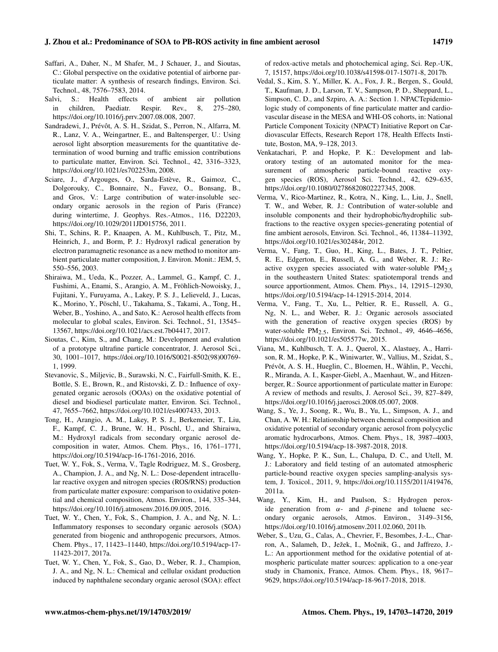- Saffari, A., Daher, N., M Shafer, M., J Schauer, J., and Sioutas, C.: Global perspective on the oxidative potential of airborne particulate matter: A synthesis of research findings, Environ. Sci. Technol., 48, 7576–7583, 2014.
- Salvi, S.: Health effects of ambient air pollution in children, Paediatr. Respir. Rev., 8, 275–280, https://doi.org/10.1016/j.prrv.2007.08.008, 2007.
- Sandradewi, J., Prévôt, A. S. H., Szidat, S., Perron, N., Alfarra, M. R., Lanz, V. A., Weingartner, E., and Baltensperger, U.: Using aerosol light absorption measurements for the quantitative determination of wood burning and traffic emission contributions to particulate matter, Environ. Sci. Technol., 42, 3316–3323, https://doi.org/10.1021/es702253m, 2008.
- Sciare, J., d'Argouges, O., Sarda-Estève, R., Gaimoz, C., Dolgorouky, C., Bonnaire, N., Favez, O., Bonsang, B., and Gros, V.: Large contribution of water-insoluble secondary organic aerosols in the region of Paris (France) during wintertime, J. Geophys. Res.-Atmos., 116, D22203, https://doi.org/10.1029/2011JD015756, 2011.
- Shi, T., Schins, R. P., Knaapen, A. M., Kuhlbusch, T., Pitz, M., Heinrich, J., and Borm, P. J.: Hydroxyl radical generation by electron paramagnetic resonance as a new method to monitor ambient particulate matter composition, J. Environ. Monit.: JEM, 5, 550–556, 2003.
- Shiraiwa, M., Ueda, K., Pozzer, A., Lammel, G., Kampf, C. J., Fushimi, A., Enami, S., Arangio, A. M., Fröhlich-Nowoisky, J., Fujitani, Y., Furuyama, A., Lakey, P. S. J., Lelieveld, J., Lucas, K., Morino, Y., Pöschl, U., Takahama, S., Takami, A., Tong, H., Weber, B., Yoshino, A., and Sato, K.: Aerosol health effects from molecular to global scales, Environ. Sci. Technol., 51, 13545– 13567, https://doi.org/10.1021/acs.est.7b04417, 2017.
- Sioutas, C., Kim, S., and Chang, M.: Development and evalution of a prototype ultrafine particle concentrator, J. Aerosol Sci., 30, 1001–1017, https://doi.org/10.1016/S0021-8502(98)00769- 1, 1999.
- Stevanovic, S., Miljevic, B., Surawski, N. C., Fairfull-Smith, K. E., Bottle, S. E., Brown, R., and Ristovski, Z. D.: Influence of oxygenated organic aerosols (OOAs) on the oxidative potential of diesel and biodiesel particulate matter, Environ. Sci. Technol., 47, 7655–7662, https://doi.org/10.1021/es4007433, 2013.
- Tong, H., Arangio, A. M., Lakey, P. S. J., Berkemeier, T., Liu, F., Kampf, C. J., Brune, W. H., Pöschl, U., and Shiraiwa, M.: Hydroxyl radicals from secondary organic aerosol decomposition in water, Atmos. Chem. Phys., 16, 1761–1771, https://doi.org/10.5194/acp-16-1761-2016, 2016.
- Tuet, W. Y., Fok, S., Verma, V., Tagle Rodriguez, M. S., Grosberg, A., Champion, J. A., and Ng, N. L.: Dose-dependent intracellular reactive oxygen and nitrogen species (ROS/RNS) production from particulate matter exposure: comparison to oxidative potential and chemical composition, Atmos. Environ., 144, 335–344, https://doi.org/10.1016/j.atmosenv.2016.09.005, 2016.
- Tuet, W. Y., Chen, Y., Fok, S., Champion, J. A., and Ng, N. L.: Inflammatory responses to secondary organic aerosols (SOA) generated from biogenic and anthropogenic precursors, Atmos. Chem. Phys., 17, 11423–11440, https://doi.org/10.5194/acp-17- 11423-2017, 2017a.
- Tuet, W. Y., Chen, Y., Fok, S., Gao, D., Weber, R. J., Champion, J. A., and Ng, N. L.: Chemical and cellular oxidant production induced by naphthalene secondary organic aerosol (SOA): effect

of redox-active metals and photochemical aging, Sci. Rep.-UK, 7, 15157, https://doi.org/10.1038/s41598-017-15071-8, 2017b.

- Vedal, S., Kim, S. Y., Miller, K. A., Fox, J. R., Bergen, S., Gould, T., Kaufman, J. D., Larson, T. V., Sampson, P. D., Sheppard, L., Simpson, C. D., and Szpiro, A. A.: Section 1. NPACTepidemiologic study of components of fine particulate matter and cardiovascular disease in the MESA and WHI-OS cohorts, in: National Particle Component Toxicity (NPACT) Initiative Report on Cardiovascular Effects, Research Report 178, Health Effects Institute, Boston, MA, 9–128, 2013.
- Venkatachari, P. and Hopke, P. K.: Development and laboratory testing of an automated monitor for the measurement of atmospheric particle-bound reactive oxygen species (ROS), Aerosol Sci. Technol., 42, 629–635, https://doi.org/10.1080/02786820802227345, 2008.
- Verma, V., Rico-Martinez, R., Kotra, N., King, L., Liu, J., Snell, T. W., and Weber, R. J.: Contribution of water-soluble and insoluble components and their hydrophobic/hydrophilic subfractions to the reactive oxygen species-generating potential of fine ambient aerosols, Environ. Sci. Technol., 46, 11384–11392, https://doi.org/10.1021/es302484r, 2012.
- Verma, V., Fang, T., Guo, H., King, L., Bates, J. T., Peltier, R. E., Edgerton, E., Russell, A. G., and Weber, R. J.: Reactive oxygen species associated with water-soluble  $PM<sub>2.5</sub>$ in the southeastern United States: spatiotemporal trends and source apportionment, Atmos. Chem. Phys., 14, 12915–12930, https://doi.org/10.5194/acp-14-12915-2014, 2014.
- Verma, V., Fang, T., Xu, L., Peltier, R. E., Russell, A. G., Ng, N. L., and Weber, R. J.: Organic aerosols associated with the generation of reactive oxygen species (ROS) by water-soluble PM<sub>2.5</sub>, Environ. Sci. Technol., 49, 4646-4656, https://doi.org/10.1021/es505577w, 2015.
- Viana, M., Kuhlbusch, T. A. J., Querol, X., Alastuey, A., Harrison, R. M., Hopke, P. K., Winiwarter, W., Vallius, M., Szidat, S., Prévôt, A. S. H., Hueglin, C., Bloemen, H., Wåhlin, P., Vecchi, R., Miranda, A. I., Kasper-Giebl, A., Maenhaut, W., and Hitzenberger, R.: Source apportionment of particulate matter in Europe: A review of methods and results, J. Aerosol Sci., 39, 827–849, https://doi.org/10.1016/j.jaerosci.2008.05.007, 2008.
- Wang, S., Ye, J., Soong, R., Wu, B., Yu, L., Simpson, A. J., and Chan, A. W. H.: Relationship between chemical composition and oxidative potential of secondary organic aerosol from polycyclic aromatic hydrocarbons, Atmos. Chem. Phys., 18, 3987–4003, https://doi.org/10.5194/acp-18-3987-2018, 2018.
- Wang, Y., Hopke, P. K., Sun, L., Chalupa, D. C., and Utell, M. J.: Laboratory and field testing of an automated atmospheric particle-bound reactive oxygen species sampling-analysis system, J. Toxicol., 2011, 9, https://doi.org/10.1155/2011/419476, 2011a.
- Wang, Y., Kim, H., and Paulson, S.: Hydrogen peroxide generation from  $\alpha$ - and  $\beta$ -pinene and toluene secondary organic aerosols, Atmos. Environ., 3149–3156, https://doi.org/10.1016/j.atmosenv.2011.02.060, 2011b.
- Weber, S., Uzu, G., Calas, A., Chevrier, F., Besombes, J.-L., Charron, A., Salameh, D., Ježek, I., Močnik, G., and Jaffrezo, J.-L.: An apportionment method for the oxidative potential of atmospheric particulate matter sources: application to a one-year study in Chamonix, France, Atmos. Chem. Phys., 18, 9617– 9629, https://doi.org/10.5194/acp-18-9617-2018, 2018.